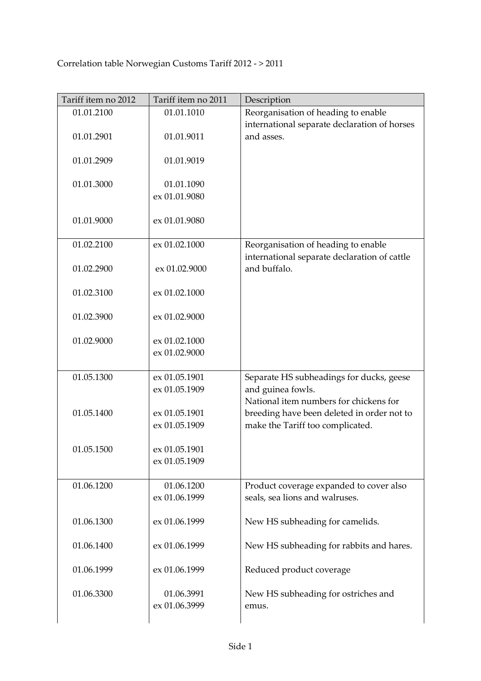| Tariff item no 2012 | Tariff item no 2011            | Description                                                                         |
|---------------------|--------------------------------|-------------------------------------------------------------------------------------|
| 01.01.2100          | 01.01.1010                     | Reorganisation of heading to enable                                                 |
| 01.01.2901          | 01.01.9011                     | international separate declaration of horses<br>and asses.                          |
| 01.01.2909          | 01.01.9019                     |                                                                                     |
| 01.01.3000          | 01.01.1090<br>ex 01.01.9080    |                                                                                     |
| 01.01.9000          | ex 01.01.9080                  |                                                                                     |
| 01.02.2100          | ex 01.02.1000                  | Reorganisation of heading to enable<br>international separate declaration of cattle |
| 01.02.2900          | ex 01.02.9000                  | and buffalo.                                                                        |
| 01.02.3100          | ex 01.02.1000                  |                                                                                     |
| 01.02.3900          | ex 01.02.9000                  |                                                                                     |
| 01.02.9000          | ex 01.02.1000<br>ex 01.02.9000 |                                                                                     |
|                     |                                |                                                                                     |
| 01.05.1300          | ex 01.05.1901                  | Separate HS subheadings for ducks, geese                                            |
|                     | ex 01.05.1909                  | and guinea fowls.<br>National item numbers for chickens for                         |
| 01.05.1400          | ex 01.05.1901                  | breeding have been deleted in order not to                                          |
|                     | ex 01.05.1909                  | make the Tariff too complicated.                                                    |
| 01.05.1500          | ex 01.05.1901                  |                                                                                     |
|                     | ex 01.05.1909                  |                                                                                     |
| 01.06.1200          | 01.06.1200                     | Product coverage expanded to cover also                                             |
|                     | ex 01.06.1999                  | seals, sea lions and walruses.                                                      |
| 01.06.1300          | ex 01.06.1999                  | New HS subheading for camelids.                                                     |
| 01.06.1400          | ex 01.06.1999                  | New HS subheading for rabbits and hares.                                            |
| 01.06.1999          | ex 01.06.1999                  | Reduced product coverage                                                            |
| 01.06.3300          | 01.06.3991<br>ex 01.06.3999    | New HS subheading for ostriches and<br>emus.                                        |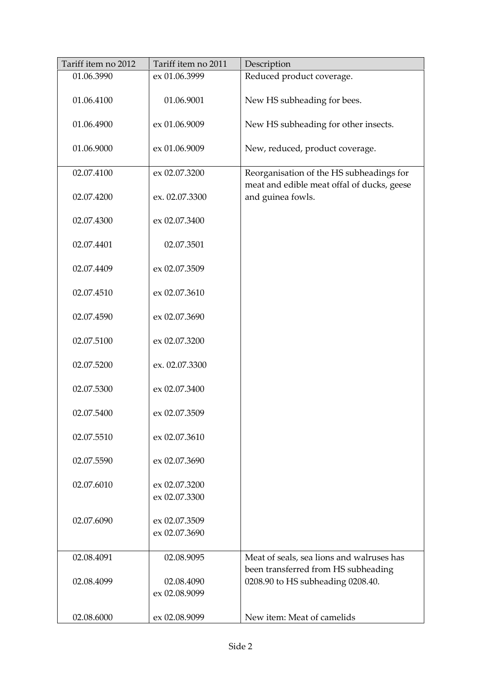| Tariff item no 2012 | Tariff item no 2011 | Description                                                                            |
|---------------------|---------------------|----------------------------------------------------------------------------------------|
| 01.06.3990          | ex 01.06.3999       | Reduced product coverage.                                                              |
| 01.06.4100          | 01.06.9001          | New HS subheading for bees.                                                            |
| 01.06.4900          | ex 01.06.9009       | New HS subheading for other insects.                                                   |
| 01.06.9000          | ex 01.06.9009       | New, reduced, product coverage.                                                        |
| 02.07.4100          | ex 02.07.3200       | Reorganisation of the HS subheadings for<br>meat and edible meat offal of ducks, geese |
| 02.07.4200          | ex. 02.07.3300      | and guinea fowls.                                                                      |
| 02.07.4300          | ex 02.07.3400       |                                                                                        |
| 02.07.4401          | 02.07.3501          |                                                                                        |
| 02.07.4409          | ex 02.07.3509       |                                                                                        |
| 02.07.4510          | ex 02.07.3610       |                                                                                        |
| 02.07.4590          | ex 02.07.3690       |                                                                                        |
| 02.07.5100          | ex 02.07.3200       |                                                                                        |
| 02.07.5200          | ex. 02.07.3300      |                                                                                        |
| 02.07.5300          | ex 02.07.3400       |                                                                                        |
| 02.07.5400          | ex 02.07.3509       |                                                                                        |
| 02.07.5510          | ex 02.07.3610       |                                                                                        |
| 02.07.5590          | ex 02.07.3690       |                                                                                        |
| 02.07.6010          | ex 02.07.3200       |                                                                                        |
|                     | ex 02.07.3300       |                                                                                        |
| 02.07.6090          | ex 02.07.3509       |                                                                                        |
|                     | ex 02.07.3690       |                                                                                        |
| 02.08.4091          | 02.08.9095          | Meat of seals, sea lions and walruses has<br>been transferred from HS subheading       |
| 02.08.4099          | 02.08.4090          | 0208.90 to HS subheading 0208.40.                                                      |
|                     | ex 02.08.9099       |                                                                                        |
| 02.08.6000          | ex 02.08.9099       | New item: Meat of camelids                                                             |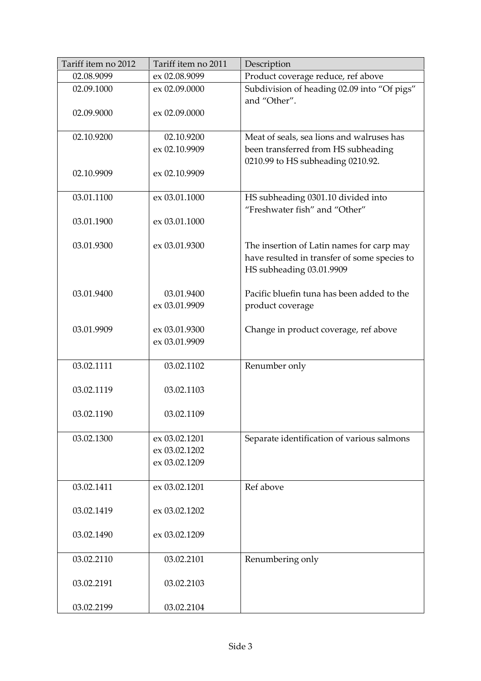| Tariff item no 2012 | Tariff item no 2011            | Description                                                                                                           |
|---------------------|--------------------------------|-----------------------------------------------------------------------------------------------------------------------|
| 02.08.9099          | ex 02.08.9099                  | Product coverage reduce, ref above                                                                                    |
| 02.09.1000          | ex 02.09.0000                  | Subdivision of heading 02.09 into "Of pigs"<br>and "Other".                                                           |
| 02.09.9000          | ex 02.09.0000                  |                                                                                                                       |
| 02.10.9200          | 02.10.9200                     | Meat of seals, sea lions and walruses has                                                                             |
|                     | ex 02.10.9909                  | been transferred from HS subheading<br>0210.99 to HS subheading 0210.92.                                              |
| 02.10.9909          | ex 02.10.9909                  |                                                                                                                       |
| 03.01.1100          | ex 03.01.1000                  | HS subheading 0301.10 divided into<br>"Freshwater fish" and "Other"                                                   |
| 03.01.1900          | ex 03.01.1000                  |                                                                                                                       |
| 03.01.9300          | ex 03.01.9300                  | The insertion of Latin names for carp may<br>have resulted in transfer of some species to<br>HS subheading 03.01.9909 |
| 03.01.9400          | 03.01.9400<br>ex 03.01.9909    | Pacific bluefin tuna has been added to the<br>product coverage                                                        |
| 03.01.9909          | ex 03.01.9300<br>ex 03.01.9909 | Change in product coverage, ref above                                                                                 |
| 03.02.1111          | 03.02.1102                     | Renumber only                                                                                                         |
| 03.02.1119          | 03.02.1103                     |                                                                                                                       |
| 03.02.1190          | 03.02.1109                     |                                                                                                                       |
| 03.02.1300          | ex 03.02.1201                  | Separate identification of various salmons                                                                            |
|                     | ex 03.02.1202                  |                                                                                                                       |
|                     | ex 03.02.1209                  |                                                                                                                       |
| 03.02.1411          | ex 03.02.1201                  | Ref above                                                                                                             |
| 03.02.1419          | ex 03.02.1202                  |                                                                                                                       |
| 03.02.1490          | ex 03.02.1209                  |                                                                                                                       |
| 03.02.2110          | 03.02.2101                     | Renumbering only                                                                                                      |
| 03.02.2191          | 03.02.2103                     |                                                                                                                       |
| 03.02.2199          | 03.02.2104                     |                                                                                                                       |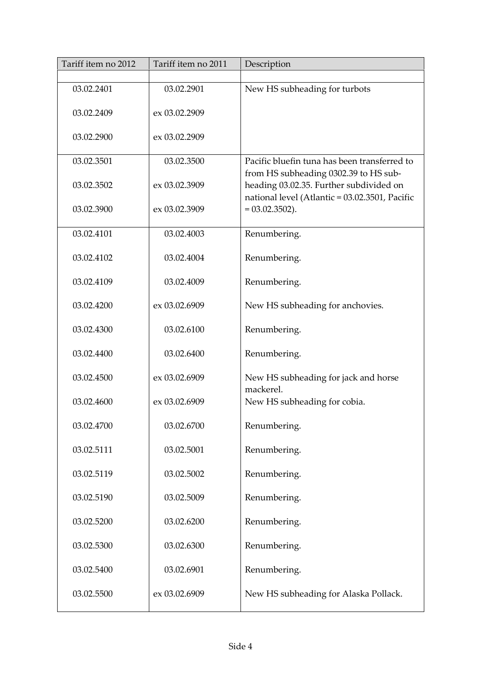| Tariff item no 2012 | Tariff item no 2011 | Description                                                                                                                        |
|---------------------|---------------------|------------------------------------------------------------------------------------------------------------------------------------|
|                     |                     |                                                                                                                                    |
| 03.02.2401          | 03.02.2901          | New HS subheading for turbots                                                                                                      |
| 03.02.2409          | ex 03.02.2909       |                                                                                                                                    |
| 03.02.2900          | ex 03.02.2909       |                                                                                                                                    |
| 03.02.3501          | 03.02.3500          | Pacific bluefin tuna has been transferred to                                                                                       |
| 03.02.3502          | ex 03.02.3909       | from HS subheading 0302.39 to HS sub-<br>heading 03.02.35. Further subdivided on<br>national level (Atlantic = 03.02.3501, Pacific |
| 03.02.3900          | ex 03.02.3909       | $= 03.02.3502$ ).                                                                                                                  |
| 03.02.4101          | 03.02.4003          | Renumbering.                                                                                                                       |
| 03.02.4102          | 03.02.4004          | Renumbering.                                                                                                                       |
| 03.02.4109          | 03.02.4009          | Renumbering.                                                                                                                       |
| 03.02.4200          | ex 03.02.6909       | New HS subheading for anchovies.                                                                                                   |
| 03.02.4300          | 03.02.6100          | Renumbering.                                                                                                                       |
| 03.02.4400          | 03.02.6400          | Renumbering.                                                                                                                       |
| 03.02.4500          | ex 03.02.6909       | New HS subheading for jack and horse<br>mackerel.                                                                                  |
| 03.02.4600          | ex 03.02.6909       | New HS subheading for cobia.                                                                                                       |
| 03.02.4700          | 03.02.6700          | Renumbering.                                                                                                                       |
| 03.02.5111          | 03.02.5001          | Renumbering.                                                                                                                       |
| 03.02.5119          | 03.02.5002          | Renumbering.                                                                                                                       |
| 03.02.5190          | 03.02.5009          | Renumbering.                                                                                                                       |
| 03.02.5200          | 03.02.6200          | Renumbering.                                                                                                                       |
| 03.02.5300          | 03.02.6300          | Renumbering.                                                                                                                       |
| 03.02.5400          | 03.02.6901          | Renumbering.                                                                                                                       |
| 03.02.5500          | ex 03.02.6909       | New HS subheading for Alaska Pollack.                                                                                              |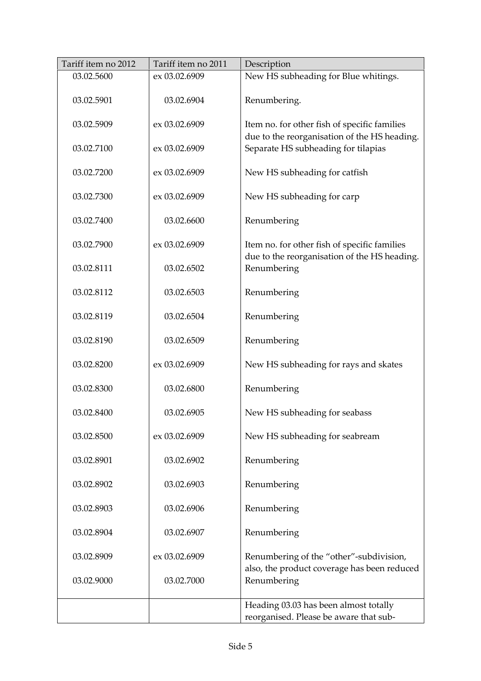| Tariff item no 2012 | Tariff item no 2011 | Description                                                                                  |
|---------------------|---------------------|----------------------------------------------------------------------------------------------|
| 03.02.5600          | ex 03.02.6909       | New HS subheading for Blue whitings.                                                         |
| 03.02.5901          | 03.02.6904          | Renumbering.                                                                                 |
| 03.02.5909          | ex 03.02.6909       | Item no. for other fish of specific families                                                 |
| 03.02.7100          | ex 03.02.6909       | due to the reorganisation of the HS heading.<br>Separate HS subheading for tilapias          |
| 03.02.7200          | ex 03.02.6909       | New HS subheading for catfish                                                                |
| 03.02.7300          | ex 03.02.6909       | New HS subheading for carp                                                                   |
| 03.02.7400          | 03.02.6600          | Renumbering                                                                                  |
| 03.02.7900          | ex 03.02.6909       | Item no. for other fish of specific families<br>due to the reorganisation of the HS heading. |
| 03.02.8111          | 03.02.6502          | Renumbering                                                                                  |
| 03.02.8112          | 03.02.6503          | Renumbering                                                                                  |
| 03.02.8119          | 03.02.6504          | Renumbering                                                                                  |
| 03.02.8190          | 03.02.6509          | Renumbering                                                                                  |
| 03.02.8200          | ex 03.02.6909       | New HS subheading for rays and skates                                                        |
| 03.02.8300          | 03.02.6800          | Renumbering                                                                                  |
| 03.02.8400          | 03.02.6905          | New HS subheading for seabass                                                                |
| 03.02.8500          | ex 03.02.6909       | New HS subheading for seabream                                                               |
| 03.02.8901          | 03.02.6902          | Renumbering                                                                                  |
| 03.02.8902          | 03.02.6903          | Renumbering                                                                                  |
| 03.02.8903          | 03.02.6906          | Renumbering                                                                                  |
| 03.02.8904          | 03.02.6907          | Renumbering                                                                                  |
| 03.02.8909          | ex 03.02.6909       | Renumbering of the "other"-subdivision,                                                      |
| 03.02.9000          | 03.02.7000          | also, the product coverage has been reduced<br>Renumbering                                   |
|                     |                     | Heading 03.03 has been almost totally                                                        |
|                     |                     | reorganised. Please be aware that sub-                                                       |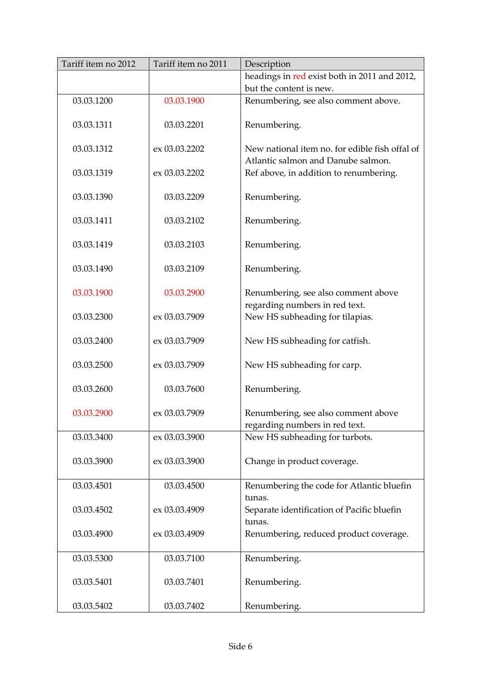| Tariff item no 2012 | Tariff item no 2011 | Description                                                                          |
|---------------------|---------------------|--------------------------------------------------------------------------------------|
|                     |                     | headings in red exist both in 2011 and 2012,                                         |
|                     |                     | but the content is new.                                                              |
| 03.03.1200          | 03.03.1900          | Renumbering, see also comment above.                                                 |
| 03.03.1311          | 03.03.2201          | Renumbering.                                                                         |
| 03.03.1312          | ex 03.03.2202       | New national item no. for edible fish offal of<br>Atlantic salmon and Danube salmon. |
| 03.03.1319          | ex 03.03.2202       | Ref above, in addition to renumbering.                                               |
| 03.03.1390          | 03.03.2209          | Renumbering.                                                                         |
| 03.03.1411          | 03.03.2102          | Renumbering.                                                                         |
| 03.03.1419          | 03.03.2103          | Renumbering.                                                                         |
| 03.03.1490          | 03.03.2109          | Renumbering.                                                                         |
| 03.03.1900          | 03.03.2900          | Renumbering, see also comment above<br>regarding numbers in red text.                |
| 03.03.2300          | ex 03.03.7909       | New HS subheading for tilapias.                                                      |
| 03.03.2400          | ex 03.03.7909       | New HS subheading for catfish.                                                       |
| 03.03.2500          | ex 03.03.7909       | New HS subheading for carp.                                                          |
| 03.03.2600          | 03.03.7600          | Renumbering.                                                                         |
| 03.03.2900          | ex 03.03.7909       | Renumbering, see also comment above<br>regarding numbers in red text.                |
| 03.03.3400          | ex 03.03.3900       | New HS subheading for turbots.                                                       |
| 03.03.3900          | ex 03.03.3900       | Change in product coverage.                                                          |
| 03.03.4501          | 03.03.4500          | Renumbering the code for Atlantic bluefin<br>tunas.                                  |
| 03.03.4502          | ex 03.03.4909       | Separate identification of Pacific bluefin<br>tunas.                                 |
| 03.03.4900          | ex 03.03.4909       | Renumbering, reduced product coverage.                                               |
| 03.03.5300          | 03.03.7100          | Renumbering.                                                                         |
| 03.03.5401          | 03.03.7401          | Renumbering.                                                                         |
| 03.03.5402          | 03.03.7402          | Renumbering.                                                                         |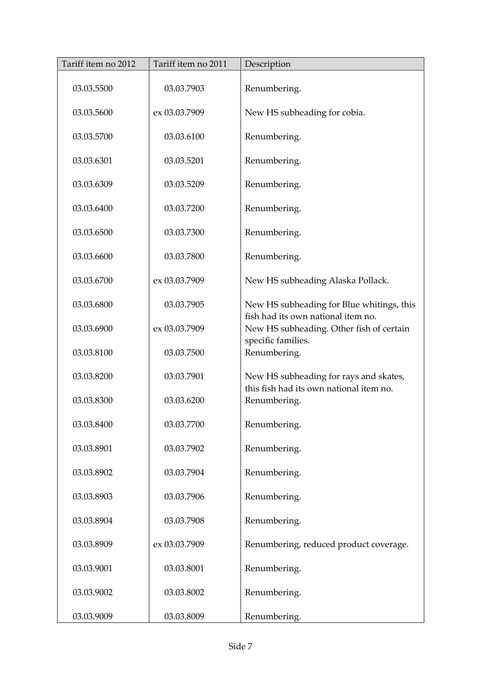| Tariff item no 2012 | Tariff item no 2011 | Description                                                                    |
|---------------------|---------------------|--------------------------------------------------------------------------------|
| 03.03.5500          | 03.03.7903          | Renumbering.                                                                   |
| 03.03.5600          | ex 03.03.7909       | New HS subheading for cobia.                                                   |
| 03.03.5700          | 03.03.6100          | Renumbering.                                                                   |
| 03.03.6301          | 03.03.5201          | Renumbering.                                                                   |
| 03.03.6309          | 03.03.5209          | Renumbering.                                                                   |
| 03.03.6400          | 03.03.7200          | Renumbering.                                                                   |
| 03.03.6500          | 03.03.7300          | Renumbering.                                                                   |
| 03.03.6600          | 03.03.7800          | Renumbering.                                                                   |
| 03.03.6700          | ex 03.03.7909       | New HS subheading Alaska Pollack.                                              |
| 03.03.6800          | 03.03.7905          | New HS subheading for Blue whitings, this                                      |
| 03.03.6900          | ex 03.03.7909       | fish had its own national item no.<br>New HS subheading. Other fish of certain |
| 03.03.8100          | 03.03.7500          | specific families.<br>Renumbering.                                             |
| 03.03.8200          | 03.03.7901          | New HS subheading for rays and skates,                                         |
| 03.03.8300          | 03.03.6200          | this fish had its own national item no.<br>Renumbering.                        |
| 03.03.8400          | 03.03.7700          | Renumbering.                                                                   |
| 03.03.8901          | 03.03.7902          | Renumbering.                                                                   |
| 03.03.8902          | 03.03.7904          | Renumbering.                                                                   |
| 03.03.8903          | 03.03.7906          | Renumbering.                                                                   |
| 03.03.8904          | 03.03.7908          | Renumbering.                                                                   |
| 03.03.8909          | ex 03.03.7909       | Renumbering, reduced product coverage.                                         |
| 03.03.9001          | 03.03.8001          | Renumbering.                                                                   |
| 03.03.9002          | 03.03.8002          | Renumbering.                                                                   |
| 03.03.9009          | 03.03.8009          | Renumbering.                                                                   |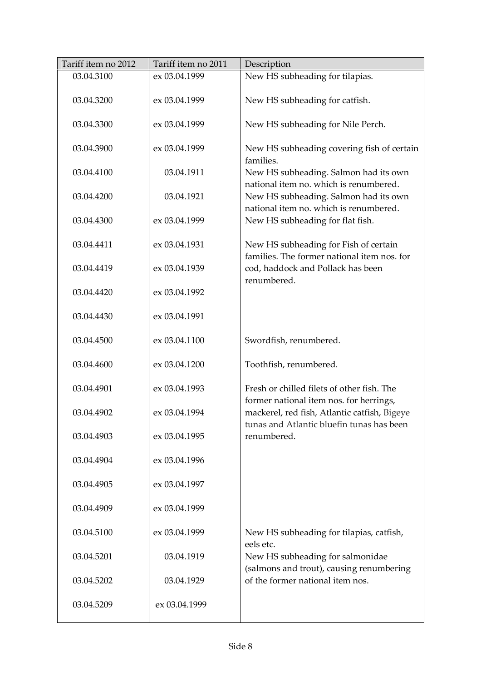| Tariff item no 2012 | Tariff item no 2011 | Description                                                                               |
|---------------------|---------------------|-------------------------------------------------------------------------------------------|
| 03.04.3100          | ex 03.04.1999       | New HS subheading for tilapias.                                                           |
| 03.04.3200          | ex 03.04.1999       | New HS subheading for catfish.                                                            |
| 03.04.3300          | ex 03.04.1999       | New HS subheading for Nile Perch.                                                         |
| 03.04.3900          | ex 03.04.1999       | New HS subheading covering fish of certain<br>families.                                   |
| 03.04.4100          | 03.04.1911          | New HS subheading. Salmon had its own<br>national item no. which is renumbered.           |
| 03.04.4200          | 03.04.1921          | New HS subheading. Salmon had its own<br>national item no. which is renumbered.           |
| 03.04.4300          | ex 03.04.1999       | New HS subheading for flat fish.                                                          |
| 03.04.4411          | ex 03.04.1931       | New HS subheading for Fish of certain<br>families. The former national item nos. for      |
| 03.04.4419          | ex 03.04.1939       | cod, haddock and Pollack has been<br>renumbered.                                          |
| 03.04.4420          | ex 03.04.1992       |                                                                                           |
| 03.04.4430          | ex 03.04.1991       |                                                                                           |
| 03.04.4500          | ex 03.04.1100       | Swordfish, renumbered.                                                                    |
| 03.04.4600          | ex 03.04.1200       | Toothfish, renumbered.                                                                    |
| 03.04.4901          | ex 03.04.1993       | Fresh or chilled filets of other fish. The<br>former national item nos. for herrings,     |
| 03.04.4902          | ex 03.04.1994       | mackerel, red fish, Atlantic catfish, Bigeye<br>tunas and Atlantic bluefin tunas has been |
| 03.04.4903          | ex 03.04.1995       | renumbered.                                                                               |
| 03.04.4904          | ex 03.04.1996       |                                                                                           |
| 03.04.4905          | ex 03.04.1997       |                                                                                           |
| 03.04.4909          | ex 03.04.1999       |                                                                                           |
| 03.04.5100          | ex 03.04.1999       | New HS subheading for tilapias, catfish,                                                  |
| 03.04.5201          | 03.04.1919          | eels etc.<br>New HS subheading for salmonidae                                             |
| 03.04.5202          | 03.04.1929          | (salmons and trout), causing renumbering<br>of the former national item nos.              |
| 03.04.5209          | ex 03.04.1999       |                                                                                           |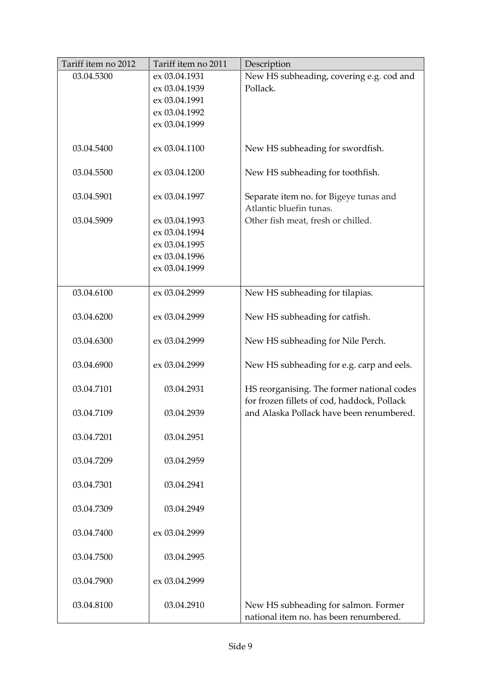| Tariff item no 2012 | Tariff item no 2011 | Description                                 |
|---------------------|---------------------|---------------------------------------------|
| 03.04.5300          | ex 03.04.1931       | New HS subheading, covering e.g. cod and    |
|                     | ex 03.04.1939       | Pollack.                                    |
|                     | ex 03.04.1991       |                                             |
|                     | ex 03.04.1992       |                                             |
|                     | ex 03.04.1999       |                                             |
|                     |                     |                                             |
| 03.04.5400          | ex 03.04.1100       | New HS subheading for swordfish.            |
|                     |                     |                                             |
| 03.04.5500          | ex 03.04.1200       | New HS subheading for toothfish.            |
|                     |                     |                                             |
| 03.04.5901          | ex 03.04.1997       | Separate item no. for Bigeye tunas and      |
|                     |                     | Atlantic bluefin tunas.                     |
| 03.04.5909          | ex 03.04.1993       | Other fish meat, fresh or chilled.          |
|                     | ex 03.04.1994       |                                             |
|                     | ex 03.04.1995       |                                             |
|                     | ex 03.04.1996       |                                             |
|                     | ex 03.04.1999       |                                             |
|                     |                     |                                             |
| 03.04.6100          | ex 03.04.2999       | New HS subheading for tilapias.             |
|                     |                     |                                             |
| 03.04.6200          | ex 03.04.2999       | New HS subheading for catfish.              |
|                     |                     |                                             |
| 03.04.6300          | ex 03.04.2999       | New HS subheading for Nile Perch.           |
|                     |                     |                                             |
| 03.04.6900          | ex 03.04.2999       | New HS subheading for e.g. carp and eels.   |
|                     |                     |                                             |
| 03.04.7101          | 03.04.2931          | HS reorganising. The former national codes  |
|                     |                     | for frozen fillets of cod, haddock, Pollack |
| 03.04.7109          | 03.04.2939          | and Alaska Pollack have been renumbered.    |
|                     |                     |                                             |
| 03.04.7201          | 03.04.2951          |                                             |
|                     |                     |                                             |
| 03.04.7209          | 03.04.2959          |                                             |
|                     |                     |                                             |
| 03.04.7301          | 03.04.2941          |                                             |
|                     |                     |                                             |
| 03.04.7309          | 03.04.2949          |                                             |
|                     |                     |                                             |
| 03.04.7400          | ex 03.04.2999       |                                             |
|                     |                     |                                             |
| 03.04.7500          | 03.04.2995          |                                             |
|                     |                     |                                             |
| 03.04.7900          | ex 03.04.2999       |                                             |
|                     |                     |                                             |
| 03.04.8100          | 03.04.2910          | New HS subheading for salmon. Former        |
|                     |                     | national item no. has been renumbered.      |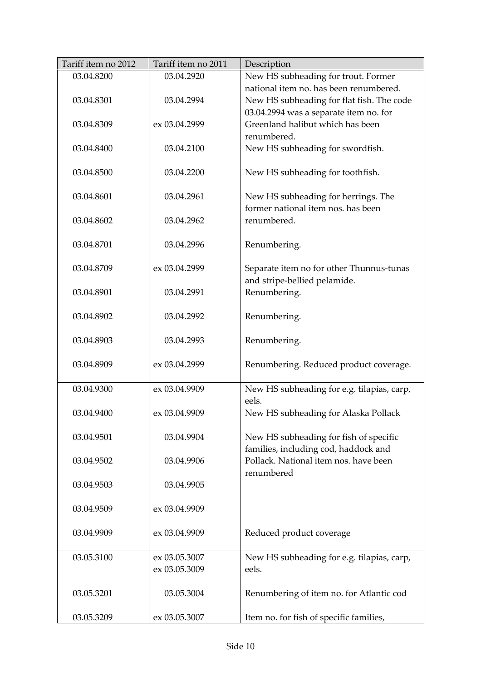| Tariff item no 2011 | Description                                                                                                                                                                                                                                                                                       |
|---------------------|---------------------------------------------------------------------------------------------------------------------------------------------------------------------------------------------------------------------------------------------------------------------------------------------------|
| 03.04.2920          | New HS subheading for trout. Former                                                                                                                                                                                                                                                               |
|                     | national item no. has been renumbered.                                                                                                                                                                                                                                                            |
| 03.04.2994          | New HS subheading for flat fish. The code                                                                                                                                                                                                                                                         |
|                     | 03.04.2994 was a separate item no. for                                                                                                                                                                                                                                                            |
| ex 03.04.2999       | Greenland halibut which has been                                                                                                                                                                                                                                                                  |
|                     | renumbered.                                                                                                                                                                                                                                                                                       |
| 03.04.2100          | New HS subheading for swordfish.                                                                                                                                                                                                                                                                  |
|                     |                                                                                                                                                                                                                                                                                                   |
| 03.04.2200          | New HS subheading for toothfish.                                                                                                                                                                                                                                                                  |
|                     |                                                                                                                                                                                                                                                                                                   |
|                     | New HS subheading for herrings. The                                                                                                                                                                                                                                                               |
|                     | former national item nos. has been                                                                                                                                                                                                                                                                |
|                     | renumbered.                                                                                                                                                                                                                                                                                       |
|                     |                                                                                                                                                                                                                                                                                                   |
|                     | Renumbering.                                                                                                                                                                                                                                                                                      |
|                     |                                                                                                                                                                                                                                                                                                   |
|                     | Separate item no for other Thunnus-tunas                                                                                                                                                                                                                                                          |
|                     | and stripe-bellied pelamide.                                                                                                                                                                                                                                                                      |
|                     | Renumbering.                                                                                                                                                                                                                                                                                      |
|                     |                                                                                                                                                                                                                                                                                                   |
|                     | Renumbering.                                                                                                                                                                                                                                                                                      |
|                     |                                                                                                                                                                                                                                                                                                   |
|                     | Renumbering.                                                                                                                                                                                                                                                                                      |
|                     |                                                                                                                                                                                                                                                                                                   |
|                     | Renumbering. Reduced product coverage.                                                                                                                                                                                                                                                            |
|                     |                                                                                                                                                                                                                                                                                                   |
|                     | New HS subheading for e.g. tilapias, carp,                                                                                                                                                                                                                                                        |
|                     | eels.                                                                                                                                                                                                                                                                                             |
|                     | New HS subheading for Alaska Pollack                                                                                                                                                                                                                                                              |
|                     |                                                                                                                                                                                                                                                                                                   |
|                     | New HS subheading for fish of specific                                                                                                                                                                                                                                                            |
|                     | families, including cod, haddock and                                                                                                                                                                                                                                                              |
|                     | Pollack. National item nos. have been                                                                                                                                                                                                                                                             |
|                     | renumbered                                                                                                                                                                                                                                                                                        |
|                     |                                                                                                                                                                                                                                                                                                   |
|                     |                                                                                                                                                                                                                                                                                                   |
|                     |                                                                                                                                                                                                                                                                                                   |
|                     |                                                                                                                                                                                                                                                                                                   |
|                     | Reduced product coverage                                                                                                                                                                                                                                                                          |
|                     |                                                                                                                                                                                                                                                                                                   |
|                     | New HS subheading for e.g. tilapias, carp,                                                                                                                                                                                                                                                        |
|                     | eels.                                                                                                                                                                                                                                                                                             |
|                     |                                                                                                                                                                                                                                                                                                   |
|                     | Renumbering of item no. for Atlantic cod                                                                                                                                                                                                                                                          |
|                     |                                                                                                                                                                                                                                                                                                   |
|                     | Item no. for fish of specific families,                                                                                                                                                                                                                                                           |
|                     | 03.04.2961<br>03.04.2962<br>03.04.2996<br>ex 03.04.2999<br>03.04.2991<br>03.04.2992<br>03.04.2993<br>ex 03.04.2999<br>ex 03.04.9909<br>ex 03.04.9909<br>03.04.9904<br>03.04.9906<br>03.04.9905<br>ex 03.04.9909<br>ex 03.04.9909<br>ex 03.05.3007<br>ex 03.05.3009<br>03.05.3004<br>ex 03.05.3007 |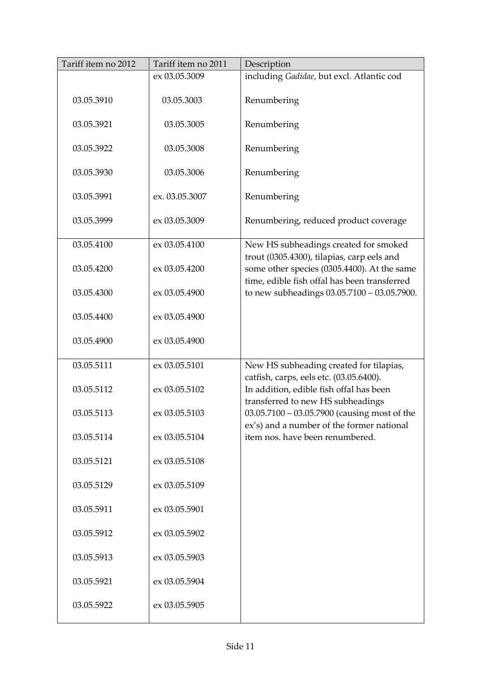| Tariff item no 2012 | Tariff item no 2011 | Description                                                                                                             |
|---------------------|---------------------|-------------------------------------------------------------------------------------------------------------------------|
|                     | ex 03.05.3009       | including Gadidae, but excl. Atlantic cod                                                                               |
| 03.05.3910          | 03.05.3003          | Renumbering                                                                                                             |
| 03.05.3921          | 03.05.3005          | Renumbering                                                                                                             |
| 03.05.3922          | 03.05.3008          | Renumbering                                                                                                             |
| 03.05.3930          | 03.05.3006          | Renumbering                                                                                                             |
| 03.05.3991          | ex. 03.05.3007      | Renumbering                                                                                                             |
| 03.05.3999          | ex 03.05.3009       | Renumbering, reduced product coverage                                                                                   |
| 03.05.4100          | ex 03.05.4100       | New HS subheadings created for smoked<br>trout (0305.4300), tilapias, carp eels and                                     |
| 03.05.4200          | ex 03.05.4200       | some other species (0305.4400). At the same<br>time, edible fish offal has been transferred                             |
| 03.05.4300          | ex 03.05.4900       | to new subheadings 03.05.7100 - 03.05.7900.                                                                             |
| 03.05.4400          | ex 03.05.4900       |                                                                                                                         |
| 03.05.4900          | ex 03.05.4900       |                                                                                                                         |
| 03.05.5111          | ex 03.05.5101       | New HS subheading created for tilapias,                                                                                 |
| 03.05.5112          | ex 03.05.5102       | catfish, carps, eels etc. (03.05.6400).<br>In addition, edible fish offal has been<br>transferred to new HS subheadings |
| 03.05.5113          | ex 03.05.5103       | 03.05.7100 - 03.05.7900 (causing most of the<br>ex's) and a number of the former national                               |
| 03.05.5114          | ex 03.05.5104       | item nos. have been renumbered.                                                                                         |
| 03.05.5121          | ex 03.05.5108       |                                                                                                                         |
| 03.05.5129          | ex 03.05.5109       |                                                                                                                         |
| 03.05.5911          | ex 03.05.5901       |                                                                                                                         |
| 03.05.5912          | ex 03.05.5902       |                                                                                                                         |
| 03.05.5913          | ex 03.05.5903       |                                                                                                                         |
| 03.05.5921          | ex 03.05.5904       |                                                                                                                         |
| 03.05.5922          | ex 03.05.5905       |                                                                                                                         |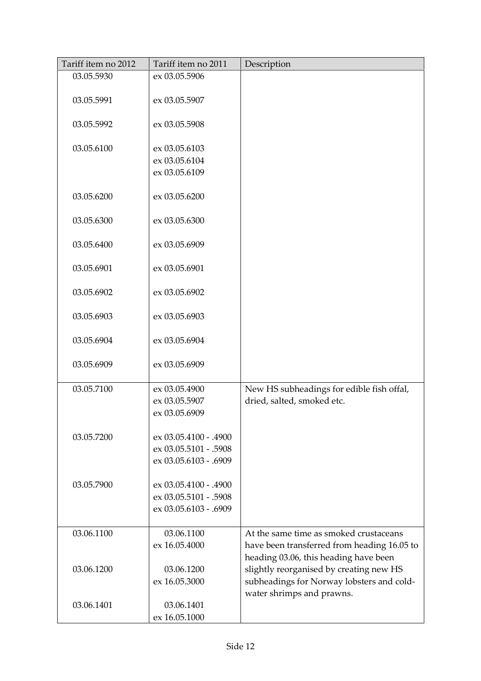| Tariff item no 2012 | Tariff item no 2011   | Description                                 |
|---------------------|-----------------------|---------------------------------------------|
| 03.05.5930          | ex 03.05.5906         |                                             |
|                     |                       |                                             |
| 03.05.5991          | ex 03.05.5907         |                                             |
|                     |                       |                                             |
| 03.05.5992          | ex 03.05.5908         |                                             |
|                     |                       |                                             |
| 03.05.6100          | ex 03.05.6103         |                                             |
|                     | ex 03.05.6104         |                                             |
|                     | ex 03.05.6109         |                                             |
|                     |                       |                                             |
| 03.05.6200          | ex 03.05.6200         |                                             |
|                     |                       |                                             |
| 03.05.6300          | ex 03.05.6300         |                                             |
|                     |                       |                                             |
| 03.05.6400          | ex 03.05.6909         |                                             |
|                     |                       |                                             |
| 03.05.6901          | ex 03.05.6901         |                                             |
|                     |                       |                                             |
| 03.05.6902          | ex 03.05.6902         |                                             |
|                     |                       |                                             |
| 03.05.6903          | ex 03.05.6903         |                                             |
|                     |                       |                                             |
| 03.05.6904          | ex 03.05.6904         |                                             |
|                     |                       |                                             |
| 03.05.6909          | ex 03.05.6909         |                                             |
| 03.05.7100          | ex 03.05.4900         |                                             |
|                     | ex 03.05.5907         | New HS subheadings for edible fish offal,   |
|                     |                       | dried, salted, smoked etc.                  |
|                     | ex 03.05.6909         |                                             |
| 03.05.7200          | ex 03.05.4100 - .4900 |                                             |
|                     | ex 03.05.5101 - .5908 |                                             |
|                     |                       |                                             |
|                     | ex 03.05.6103 - .6909 |                                             |
| 03.05.7900          | ex 03.05.4100 - .4900 |                                             |
|                     | ex 03.05.5101 - .5908 |                                             |
|                     |                       |                                             |
|                     | ex 03.05.6103 - .6909 |                                             |
| 03.06.1100          | 03.06.1100            | At the same time as smoked crustaceans      |
|                     | ex 16.05.4000         | have been transferred from heading 16.05 to |
|                     |                       | heading 03.06, this heading have been       |
| 03.06.1200          | 03.06.1200            | slightly reorganised by creating new HS     |
|                     | ex 16.05.3000         | subheadings for Norway lobsters and cold-   |
|                     |                       | water shrimps and prawns.                   |
| 03.06.1401          | 03.06.1401            |                                             |
|                     | ex 16.05.1000         |                                             |
|                     |                       |                                             |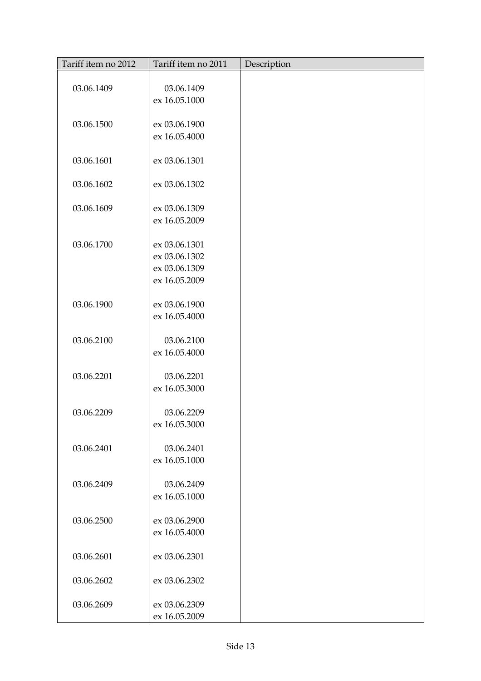| Tariff item no 2012 | Tariff item no 2011            | Description |
|---------------------|--------------------------------|-------------|
|                     |                                |             |
| 03.06.1409          | 03.06.1409                     |             |
|                     | ex 16.05.1000                  |             |
|                     |                                |             |
| 03.06.1500          | ex 03.06.1900<br>ex 16.05.4000 |             |
|                     |                                |             |
| 03.06.1601          | ex 03.06.1301                  |             |
|                     |                                |             |
| 03.06.1602          | ex 03.06.1302                  |             |
|                     |                                |             |
| 03.06.1609          | ex 03.06.1309                  |             |
|                     | ex 16.05.2009                  |             |
|                     |                                |             |
| 03.06.1700          | ex 03.06.1301                  |             |
|                     | ex 03.06.1302                  |             |
|                     | ex 03.06.1309                  |             |
|                     | ex 16.05.2009                  |             |
| 03.06.1900          | ex 03.06.1900                  |             |
|                     | ex 16.05.4000                  |             |
|                     |                                |             |
| 03.06.2100          | 03.06.2100                     |             |
|                     | ex 16.05.4000                  |             |
|                     |                                |             |
| 03.06.2201          | 03.06.2201                     |             |
|                     | ex 16.05.3000                  |             |
|                     |                                |             |
| 03.06.2209          | 03.06.2209                     |             |
|                     | ex 16.05.3000                  |             |
|                     |                                |             |
| 03.06.2401          | 03.06.2401                     |             |
|                     | ex 16.05.1000                  |             |
| 03.06.2409          | 03.06.2409                     |             |
|                     | ex 16.05.1000                  |             |
|                     |                                |             |
| 03.06.2500          | ex 03.06.2900                  |             |
|                     | ex 16.05.4000                  |             |
|                     |                                |             |
| 03.06.2601          | ex 03.06.2301                  |             |
|                     |                                |             |
| 03.06.2602          | ex 03.06.2302                  |             |
|                     |                                |             |
| 03.06.2609          | ex 03.06.2309                  |             |
|                     | ex 16.05.2009                  |             |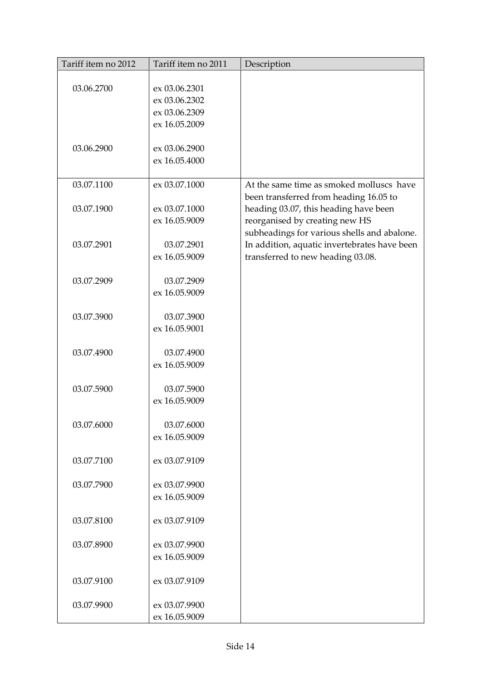| Tariff item no 2012 | Tariff item no 2011            | Description                                  |
|---------------------|--------------------------------|----------------------------------------------|
|                     |                                |                                              |
| 03.06.2700          | ex 03.06.2301                  |                                              |
|                     | ex 03.06.2302                  |                                              |
|                     | ex 03.06.2309<br>ex 16.05.2009 |                                              |
|                     |                                |                                              |
| 03.06.2900          | ex 03.06.2900                  |                                              |
|                     | ex 16.05.4000                  |                                              |
|                     |                                |                                              |
| 03.07.1100          | ex 03.07.1000                  | At the same time as smoked molluscs have     |
|                     |                                | been transferred from heading 16.05 to       |
| 03.07.1900          | ex 03.07.1000                  | heading 03.07, this heading have been        |
|                     | ex 16.05.9009                  | reorganised by creating new HS               |
|                     |                                | subheadings for various shells and abalone.  |
| 03.07.2901          | 03.07.2901                     | In addition, aquatic invertebrates have been |
|                     | ex 16.05.9009                  | transferred to new heading 03.08.            |
|                     |                                |                                              |
| 03.07.2909          | 03.07.2909                     |                                              |
|                     | ex 16.05.9009                  |                                              |
| 03.07.3900          | 03.07.3900                     |                                              |
|                     | ex 16.05.9001                  |                                              |
|                     |                                |                                              |
| 03.07.4900          | 03.07.4900                     |                                              |
|                     | ex 16.05.9009                  |                                              |
|                     |                                |                                              |
| 03.07.5900          | 03.07.5900                     |                                              |
|                     | ex 16.05.9009                  |                                              |
|                     |                                |                                              |
| 03.07.6000          | 03.07.6000                     |                                              |
|                     | ex 16.05.9009                  |                                              |
| 03.07.7100          | ex 03.07.9109                  |                                              |
|                     |                                |                                              |
| 03.07.7900          | ex 03.07.9900                  |                                              |
|                     | ex 16.05.9009                  |                                              |
|                     |                                |                                              |
| 03.07.8100          | ex 03.07.9109                  |                                              |
|                     |                                |                                              |
| 03.07.8900          | ex 03.07.9900                  |                                              |
|                     | ex 16.05.9009                  |                                              |
|                     |                                |                                              |
| 03.07.9100          | ex 03.07.9109                  |                                              |
| 03.07.9900          | ex 03.07.9900                  |                                              |
|                     | ex 16.05.9009                  |                                              |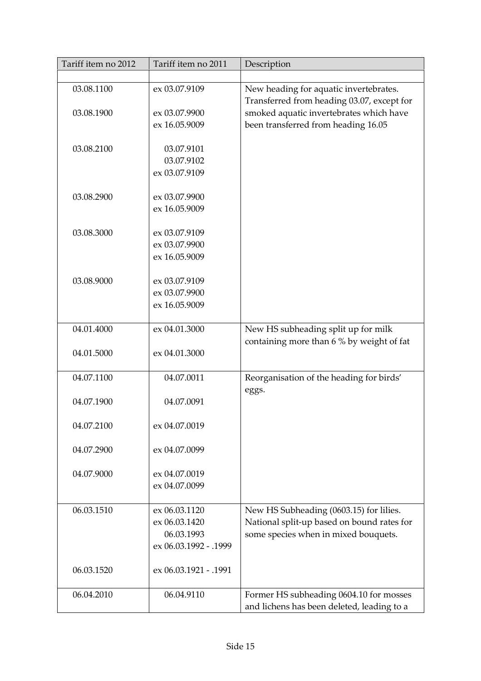| Tariff item no 2012 | Tariff item no 2011   | Description                                                                           |
|---------------------|-----------------------|---------------------------------------------------------------------------------------|
|                     |                       |                                                                                       |
| 03.08.1100          | ex 03.07.9109         | New heading for aquatic invertebrates.                                                |
|                     |                       | Transferred from heading 03.07, except for                                            |
| 03.08.1900          | ex 03.07.9900         | smoked aquatic invertebrates which have                                               |
|                     | ex 16.05.9009         | been transferred from heading 16.05                                                   |
|                     |                       |                                                                                       |
| 03.08.2100          | 03.07.9101            |                                                                                       |
|                     | 03.07.9102            |                                                                                       |
|                     | ex 03.07.9109         |                                                                                       |
|                     |                       |                                                                                       |
| 03.08.2900          | ex 03.07.9900         |                                                                                       |
|                     | ex 16.05.9009         |                                                                                       |
|                     |                       |                                                                                       |
| 03.08.3000          | ex 03.07.9109         |                                                                                       |
|                     | ex 03.07.9900         |                                                                                       |
|                     | ex 16.05.9009         |                                                                                       |
|                     |                       |                                                                                       |
| 03.08.9000          | ex 03.07.9109         |                                                                                       |
|                     | ex 03.07.9900         |                                                                                       |
|                     | ex 16.05.9009         |                                                                                       |
|                     |                       |                                                                                       |
| 04.01.4000          | ex 04.01.3000         | New HS subheading split up for milk                                                   |
|                     |                       | containing more than 6 % by weight of fat                                             |
| 04.01.5000          | ex 04.01.3000         |                                                                                       |
|                     |                       |                                                                                       |
| 04.07.1100          | 04.07.0011            | Reorganisation of the heading for birds'                                              |
|                     |                       | eggs.                                                                                 |
| 04.07.1900          | 04.07.0091            |                                                                                       |
|                     |                       |                                                                                       |
| 04.07.2100          | ex 04.07.0019         |                                                                                       |
|                     |                       |                                                                                       |
| 04.07.2900          | ex 04.07.0099         |                                                                                       |
|                     |                       |                                                                                       |
| 04.07.9000          | ex 04.07.0019         |                                                                                       |
|                     | ex 04.07.0099         |                                                                                       |
|                     |                       |                                                                                       |
| 06.03.1510          | ex 06.03.1120         | New HS Subheading (0603.15) for lilies.                                               |
|                     | ex 06.03.1420         | National split-up based on bound rates for                                            |
|                     | 06.03.1993            | some species when in mixed bouquets.                                                  |
|                     | ex 06.03.1992 - .1999 |                                                                                       |
|                     |                       |                                                                                       |
| 06.03.1520          | ex 06.03.1921 - .1991 |                                                                                       |
|                     |                       |                                                                                       |
|                     |                       |                                                                                       |
|                     |                       |                                                                                       |
| 06.04.2010          | 06.04.9110            | Former HS subheading 0604.10 for mosses<br>and lichens has been deleted, leading to a |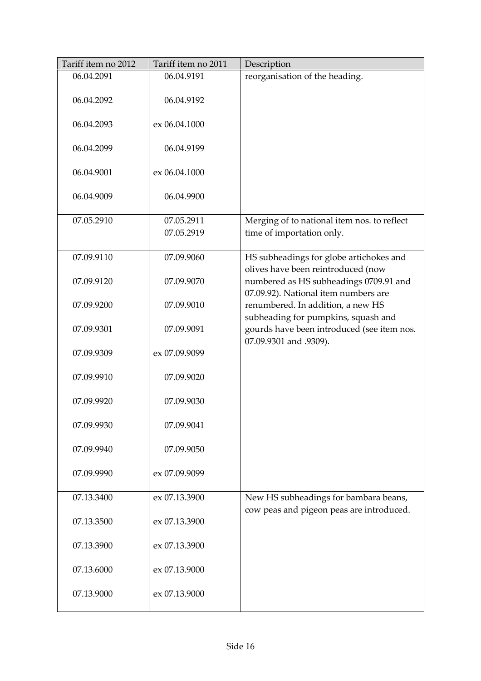| Tariff item no 2012 | Tariff item no 2011 | Description                                                                       |
|---------------------|---------------------|-----------------------------------------------------------------------------------|
| 06.04.2091          | 06.04.9191          | reorganisation of the heading.                                                    |
| 06.04.2092          | 06.04.9192          |                                                                                   |
| 06.04.2093          | ex 06.04.1000       |                                                                                   |
| 06.04.2099          | 06.04.9199          |                                                                                   |
| 06.04.9001          | ex 06.04.1000       |                                                                                   |
| 06.04.9009          | 06.04.9900          |                                                                                   |
| 07.05.2910          | 07.05.2911          | Merging of to national item nos. to reflect                                       |
|                     | 07.05.2919          | time of importation only.                                                         |
| 07.09.9110          | 07.09.9060          | HS subheadings for globe artichokes and<br>olives have been reintroduced (now     |
| 07.09.9120          | 07.09.9070          | numbered as HS subheadings 0709.91 and<br>07.09.92). National item numbers are    |
| 07.09.9200          | 07.09.9010          | renumbered. In addition, a new HS<br>subheading for pumpkins, squash and          |
| 07.09.9301          | 07.09.9091          | gourds have been introduced (see item nos.<br>07.09.9301 and .9309).              |
| 07.09.9309          | ex 07.09.9099       |                                                                                   |
| 07.09.9910          | 07.09.9020          |                                                                                   |
| 07.09.9920          | 07.09.9030          |                                                                                   |
| 07.09.9930          | 07.09.9041          |                                                                                   |
| 07.09.9940          | 07.09.9050          |                                                                                   |
| 07.09.9990          | ex 07.09.9099       |                                                                                   |
| 07.13.3400          | ex 07.13.3900       | New HS subheadings for bambara beans,<br>cow peas and pigeon peas are introduced. |
| 07.13.3500          | ex 07.13.3900       |                                                                                   |
| 07.13.3900          | ex 07.13.3900       |                                                                                   |
| 07.13.6000          | ex 07.13.9000       |                                                                                   |
| 07.13.9000          | ex 07.13.9000       |                                                                                   |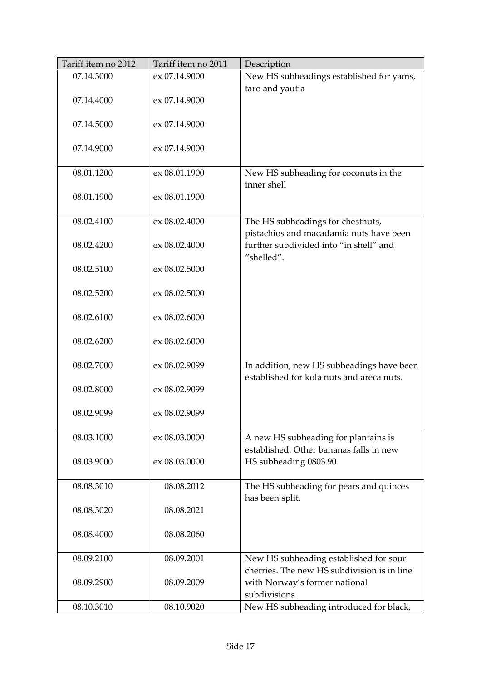| Tariff item no 2012 | Tariff item no 2011 | Description                                                                            |
|---------------------|---------------------|----------------------------------------------------------------------------------------|
| 07.14.3000          | ex 07.14.9000       | New HS subheadings established for yams,                                               |
|                     |                     | taro and yautia                                                                        |
| 07.14.4000          | ex 07.14.9000       |                                                                                        |
|                     |                     |                                                                                        |
| 07.14.5000          | ex 07.14.9000       |                                                                                        |
|                     |                     |                                                                                        |
| 07.14.9000          | ex 07.14.9000       |                                                                                        |
|                     |                     |                                                                                        |
| 08.01.1200          | ex 08.01.1900       | New HS subheading for coconuts in the<br>inner shell                                   |
| 08.01.1900          | ex 08.01.1900       |                                                                                        |
|                     |                     |                                                                                        |
| 08.02.4100          | ex 08.02.4000       | The HS subheadings for chestnuts,                                                      |
|                     |                     | pistachios and macadamia nuts have been                                                |
| 08.02.4200          | ex 08.02.4000       | further subdivided into "in shell" and                                                 |
|                     |                     | "shelled".                                                                             |
| 08.02.5100          | ex 08.02.5000       |                                                                                        |
|                     |                     |                                                                                        |
| 08.02.5200          | ex 08.02.5000       |                                                                                        |
|                     |                     |                                                                                        |
| 08.02.6100          | ex 08.02.6000       |                                                                                        |
|                     |                     |                                                                                        |
| 08.02.6200          | ex 08.02.6000       |                                                                                        |
|                     |                     |                                                                                        |
| 08.02.7000          | ex 08.02.9099       | In addition, new HS subheadings have been<br>established for kola nuts and areca nuts. |
| 08.02.8000          | ex 08.02.9099       |                                                                                        |
|                     |                     |                                                                                        |
| 08.02.9099          | ex 08.02.9099       |                                                                                        |
|                     |                     |                                                                                        |
| 08.03.1000          | ex 08.03.0000       | A new HS subheading for plantains is                                                   |
|                     |                     | established. Other bananas falls in new                                                |
| 08.03.9000          | ex 08.03.0000       | HS subheading 0803.90                                                                  |
|                     |                     |                                                                                        |
| 08.08.3010          | 08.08.2012          | The HS subheading for pears and quinces                                                |
|                     |                     | has been split.                                                                        |
| 08.08.3020          | 08.08.2021          |                                                                                        |
|                     |                     |                                                                                        |
| 08.08.4000          | 08.08.2060          |                                                                                        |
| 08.09.2100          | 08.09.2001          | New HS subheading established for sour                                                 |
|                     |                     | cherries. The new HS subdivision is in line                                            |
| 08.09.2900          | 08.09.2009          | with Norway's former national                                                          |
|                     |                     | subdivisions.                                                                          |
| 08.10.3010          | 08.10.9020          | New HS subheading introduced for black,                                                |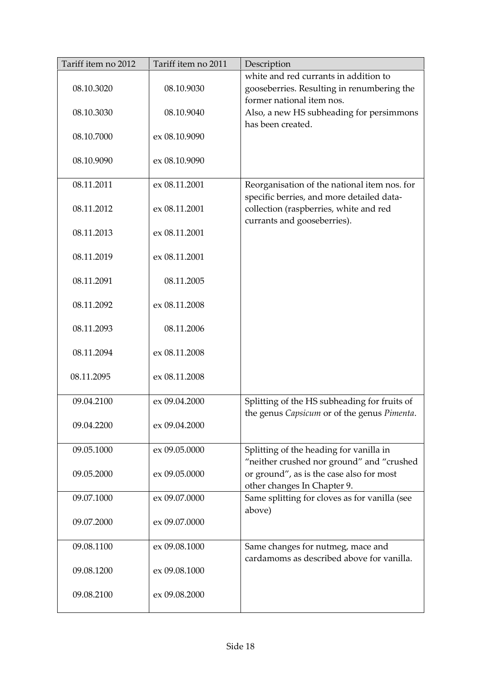| Tariff item no 2012 | Tariff item no 2011 | Description                                                                                                        |
|---------------------|---------------------|--------------------------------------------------------------------------------------------------------------------|
| 08.10.3020          | 08.10.9030          | white and red currants in addition to<br>gooseberries. Resulting in renumbering the<br>former national item nos.   |
| 08.10.3030          | 08.10.9040          | Also, a new HS subheading for persimmons<br>has been created.                                                      |
| 08.10.7000          | ex 08.10.9090       |                                                                                                                    |
| 08.10.9090          | ex 08.10.9090       |                                                                                                                    |
| 08.11.2011          | ex 08.11.2001       | Reorganisation of the national item nos. for                                                                       |
| 08.11.2012          | ex 08.11.2001       | specific berries, and more detailed data-<br>collection (raspberries, white and red<br>currants and gooseberries). |
| 08.11.2013          | ex 08.11.2001       |                                                                                                                    |
| 08.11.2019          | ex 08.11.2001       |                                                                                                                    |
| 08.11.2091          | 08.11.2005          |                                                                                                                    |
| 08.11.2092          | ex 08.11.2008       |                                                                                                                    |
| 08.11.2093          | 08.11.2006          |                                                                                                                    |
| 08.11.2094          | ex 08.11.2008       |                                                                                                                    |
| 08.11.2095          | ex 08.11.2008       |                                                                                                                    |
| 09.04.2100          | ex 09.04.2000       | Splitting of the HS subheading for fruits of<br>the genus Capsicum or of the genus Pimenta.                        |
| 09.04.2200          | ex 09.04.2000       |                                                                                                                    |
| 09.05.1000          | ex 09.05.0000       | Splitting of the heading for vanilla in<br>"neither crushed nor ground" and "crushed                               |
| 09.05.2000          | ex 09.05.0000       | or ground", as is the case also for most<br>other changes In Chapter 9.                                            |
| 09.07.1000          | ex 09.07.0000       | Same splitting for cloves as for vanilla (see<br>above)                                                            |
| 09.07.2000          | ex 09.07.0000       |                                                                                                                    |
| 09.08.1100          | ex 09.08.1000       | Same changes for nutmeg, mace and<br>cardamoms as described above for vanilla.                                     |
| 09.08.1200          | ex 09.08.1000       |                                                                                                                    |
| 09.08.2100          | ex 09.08.2000       |                                                                                                                    |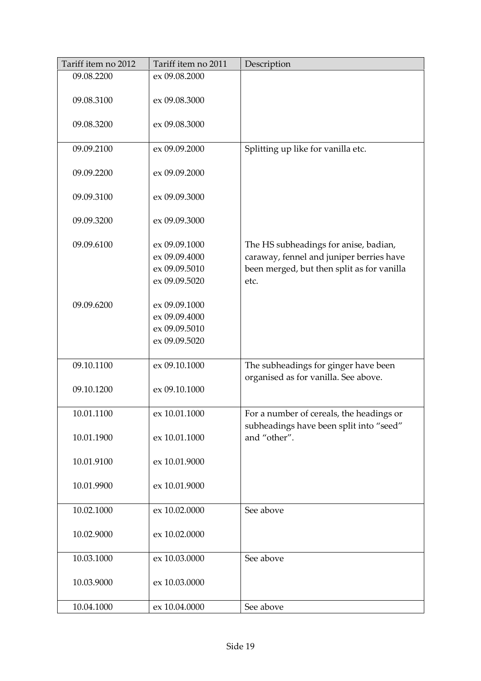| Tariff item no 2012 | Tariff item no 2011 | Description                                |
|---------------------|---------------------|--------------------------------------------|
| 09.08.2200          | ex 09.08.2000       |                                            |
|                     |                     |                                            |
| 09.08.3100          | ex 09.08.3000       |                                            |
|                     |                     |                                            |
| 09.08.3200          | ex 09.08.3000       |                                            |
|                     |                     |                                            |
| 09.09.2100          | ex 09.09.2000       | Splitting up like for vanilla etc.         |
|                     |                     |                                            |
| 09.09.2200          | ex 09.09.2000       |                                            |
|                     |                     |                                            |
| 09.09.3100          | ex 09.09.3000       |                                            |
|                     |                     |                                            |
| 09.09.3200          | ex 09.09.3000       |                                            |
|                     |                     |                                            |
| 09.09.6100          | ex 09.09.1000       | The HS subheadings for anise, badian,      |
|                     | ex 09.09.4000       | caraway, fennel and juniper berries have   |
|                     | ex 09.09.5010       | been merged, but then split as for vanilla |
|                     | ex 09.09.5020       | etc.                                       |
|                     |                     |                                            |
| 09.09.6200          | ex 09.09.1000       |                                            |
|                     | ex 09.09.4000       |                                            |
|                     | ex 09.09.5010       |                                            |
|                     | ex 09.09.5020       |                                            |
|                     |                     |                                            |
| 09.10.1100          | ex 09.10.1000       | The subheadings for ginger have been       |
|                     |                     | organised as for vanilla. See above.       |
| 09.10.1200          | ex 09.10.1000       |                                            |
|                     |                     |                                            |
| 10.01.1100          | ex 10.01.1000       | For a number of cereals, the headings or   |
|                     |                     | subheadings have been split into "seed"    |
| 10.01.1900          | ex 10.01.1000       | and "other".                               |
|                     |                     |                                            |
|                     |                     |                                            |
| 10.01.9100          | ex 10.01.9000       |                                            |
|                     |                     |                                            |
| 10.01.9900          | ex 10.01.9000       |                                            |
|                     |                     |                                            |
| 10.02.1000          | ex 10.02.0000       | See above                                  |
|                     |                     |                                            |
| 10.02.9000          | ex 10.02.0000       |                                            |
|                     |                     |                                            |
| 10.03.1000          | ex 10.03.0000       | See above                                  |
|                     |                     |                                            |
| 10.03.9000          | ex 10.03.0000       |                                            |
|                     |                     |                                            |
| 10.04.1000          | ex 10.04.0000       | See above                                  |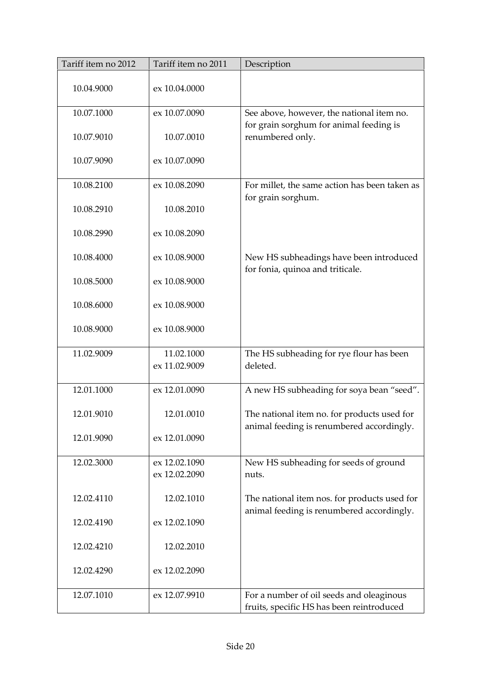| Tariff item no 2012 | Tariff item no 2011 | Description                                                                               |
|---------------------|---------------------|-------------------------------------------------------------------------------------------|
| 10.04.9000          | ex 10.04.0000       |                                                                                           |
| 10.07.1000          | ex 10.07.0090       | See above, however, the national item no.                                                 |
| 10.07.9010          | 10.07.0010          | for grain sorghum for animal feeding is<br>renumbered only.                               |
| 10.07.9090          | ex 10.07.0090       |                                                                                           |
| 10.08.2100          | ex 10.08.2090       | For millet, the same action has been taken as                                             |
| 10.08.2910          | 10.08.2010          | for grain sorghum.                                                                        |
| 10.08.2990          | ex 10.08.2090       |                                                                                           |
| 10.08.4000          | ex 10.08.9000       | New HS subheadings have been introduced<br>for fonia, quinoa and triticale.               |
| 10.08.5000          | ex 10.08.9000       |                                                                                           |
| 10.08.6000          | ex 10.08.9000       |                                                                                           |
| 10.08.9000          | ex 10.08.9000       |                                                                                           |
| 11.02.9009          | 11.02.1000          | The HS subheading for rye flour has been                                                  |
|                     | ex 11.02.9009       | deleted.                                                                                  |
| 12.01.1000          | ex 12.01.0090       | A new HS subheading for soya bean "seed".                                                 |
| 12.01.9010          | 12.01.0010          | The national item no. for products used for<br>animal feeding is renumbered accordingly.  |
| 12.01.9090          | ex 12.01.0090       |                                                                                           |
| 12.02.3000          | ex 12.02.1090       | New HS subheading for seeds of ground                                                     |
|                     | ex 12.02.2090       | nuts.                                                                                     |
| 12.02.4110          | 12.02.1010          | The national item nos. for products used for<br>animal feeding is renumbered accordingly. |
| 12.02.4190          | ex 12.02.1090       |                                                                                           |
| 12.02.4210          | 12.02.2010          |                                                                                           |
| 12.02.4290          | ex 12.02.2090       |                                                                                           |
| 12.07.1010          | ex 12.07.9910       | For a number of oil seeds and oleaginous<br>fruits, specific HS has been reintroduced     |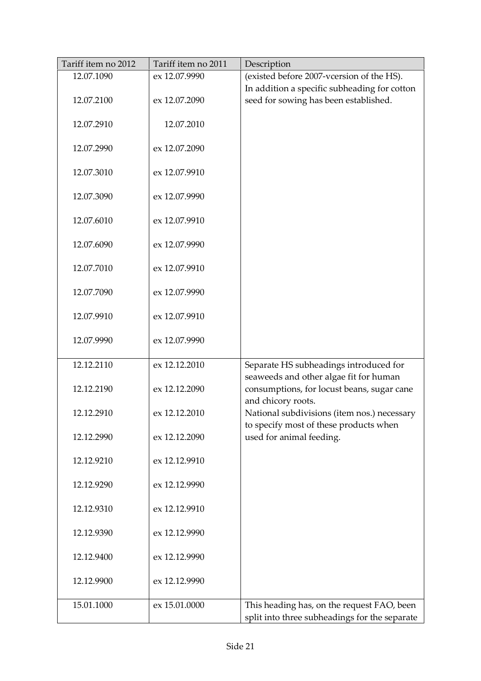| Tariff item no 2012 | Tariff item no 2011 | Description                                                                                 |
|---------------------|---------------------|---------------------------------------------------------------------------------------------|
| 12.07.1090          | ex 12.07.9990       | (existed before 2007-vcersion of the HS).                                                   |
|                     |                     | In addition a specific subheading for cotton                                                |
| 12.07.2100          | ex 12.07.2090       | seed for sowing has been established.                                                       |
|                     |                     |                                                                                             |
| 12.07.2910          | 12.07.2010          |                                                                                             |
|                     |                     |                                                                                             |
| 12.07.2990          | ex 12.07.2090       |                                                                                             |
|                     |                     |                                                                                             |
| 12.07.3010          | ex 12.07.9910       |                                                                                             |
|                     |                     |                                                                                             |
| 12.07.3090          | ex 12.07.9990       |                                                                                             |
|                     |                     |                                                                                             |
| 12.07.6010          | ex 12.07.9910       |                                                                                             |
|                     |                     |                                                                                             |
| 12.07.6090          | ex 12.07.9990       |                                                                                             |
| 12.07.7010          | ex 12.07.9910       |                                                                                             |
|                     |                     |                                                                                             |
| 12.07.7090          | ex 12.07.9990       |                                                                                             |
|                     |                     |                                                                                             |
| 12.07.9910          | ex 12.07.9910       |                                                                                             |
|                     |                     |                                                                                             |
| 12.07.9990          | ex 12.07.9990       |                                                                                             |
|                     |                     |                                                                                             |
| 12.12.2110          | ex 12.12.2010       | Separate HS subheadings introduced for                                                      |
|                     |                     | seaweeds and other algae fit for human                                                      |
| 12.12.2190          | ex 12.12.2090       | consumptions, for locust beans, sugar cane                                                  |
|                     |                     | and chicory roots.                                                                          |
| 12.12.2910          | ex 12.12.2010       | National subdivisions (item nos.) necessary                                                 |
|                     |                     | to specify most of these products when                                                      |
| 12.12.2990          | ex 12.12.2090       | used for animal feeding.                                                                    |
|                     |                     |                                                                                             |
| 12.12.9210          | ex 12.12.9910       |                                                                                             |
|                     |                     |                                                                                             |
| 12.12.9290          | ex 12.12.9990       |                                                                                             |
|                     |                     |                                                                                             |
| 12.12.9310          | ex 12.12.9910       |                                                                                             |
|                     |                     |                                                                                             |
| 12.12.9390          | ex 12.12.9990       |                                                                                             |
|                     |                     |                                                                                             |
| 12.12.9400          | ex 12.12.9990       |                                                                                             |
|                     |                     |                                                                                             |
| 12.12.9900          | ex 12.12.9990       |                                                                                             |
| 15.01.1000          | ex 15.01.0000       |                                                                                             |
|                     |                     | This heading has, on the request FAO, been<br>split into three subheadings for the separate |
|                     |                     |                                                                                             |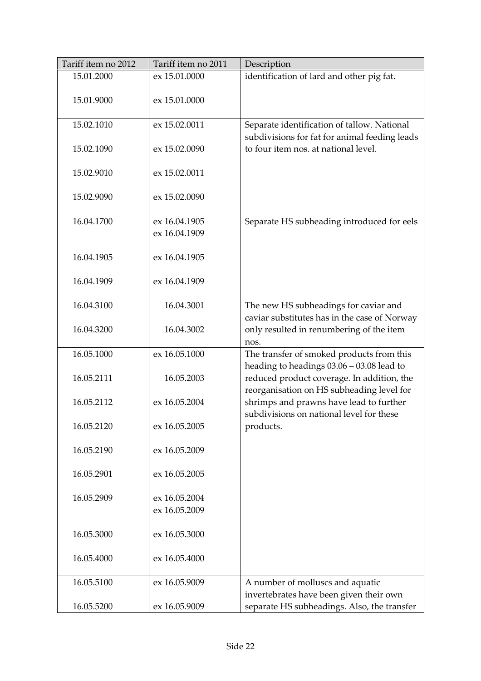| Tariff item no 2012 | Tariff item no 2011 | Description                                                                                      |
|---------------------|---------------------|--------------------------------------------------------------------------------------------------|
| 15.01.2000          | ex 15.01.0000       | identification of lard and other pig fat.                                                        |
| 15.01.9000          | ex 15.01.0000       |                                                                                                  |
| 15.02.1010          | ex 15.02.0011       | Separate identification of tallow. National<br>subdivisions for fat for animal feeding leads     |
| 15.02.1090          | ex 15.02.0090       | to four item nos. at national level.                                                             |
| 15.02.9010          | ex 15.02.0011       |                                                                                                  |
| 15.02.9090          | ex 15.02.0090       |                                                                                                  |
| 16.04.1700          | ex 16.04.1905       | Separate HS subheading introduced for eels                                                       |
|                     | ex 16.04.1909       |                                                                                                  |
| 16.04.1905          | ex 16.04.1905       |                                                                                                  |
| 16.04.1909          | ex 16.04.1909       |                                                                                                  |
| 16.04.3100          | 16.04.3001          | The new HS subheadings for caviar and                                                            |
| 16.04.3200          | 16.04.3002          | caviar substitutes has in the case of Norway<br>only resulted in renumbering of the item<br>nos. |
| 16.05.1000          | ex 16.05.1000       | The transfer of smoked products from this                                                        |
|                     |                     | heading to headings $03.06 - 03.08$ lead to                                                      |
| 16.05.2111          | 16.05.2003          | reduced product coverage. In addition, the<br>reorganisation on HS subheading level for          |
| 16.05.2112          | ex 16.05.2004       | shrimps and prawns have lead to further<br>subdivisions on national level for these              |
| 16.05.2120          | ex 16.05.2005       | products.                                                                                        |
| 16.05.2190          | ex 16.05.2009       |                                                                                                  |
| 16.05.2901          | ex 16.05.2005       |                                                                                                  |
| 16.05.2909          | ex 16.05.2004       |                                                                                                  |
|                     | ex 16.05.2009       |                                                                                                  |
|                     |                     |                                                                                                  |
| 16.05.3000          | ex 16.05.3000       |                                                                                                  |
| 16.05.4000          | ex 16.05.4000       |                                                                                                  |
| 16.05.5100          | ex 16.05.9009       | A number of molluscs and aquatic                                                                 |
|                     |                     | invertebrates have been given their own                                                          |
| 16.05.5200          | ex 16.05.9009       | separate HS subheadings. Also, the transfer                                                      |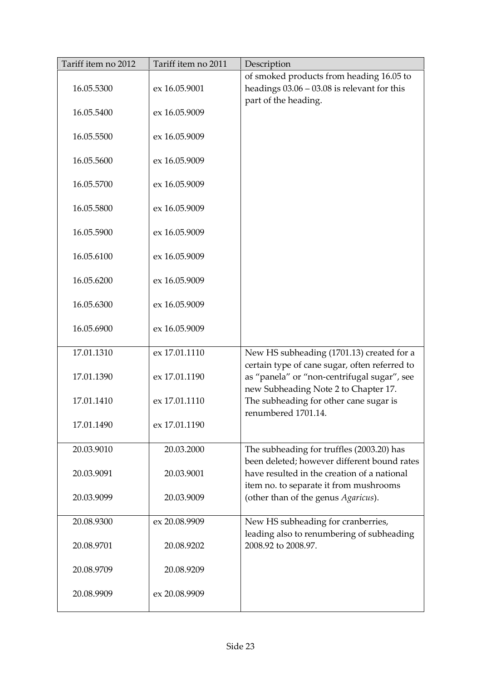| Tariff item no 2012 | Tariff item no 2011 | Description                                                                                                       |
|---------------------|---------------------|-------------------------------------------------------------------------------------------------------------------|
| 16.05.5300          | ex 16.05.9001       | of smoked products from heading 16.05 to<br>headings $03.06 - 03.08$ is relevant for this<br>part of the heading. |
| 16.05.5400          | ex 16.05.9009       |                                                                                                                   |
| 16.05.5500          | ex 16.05.9009       |                                                                                                                   |
| 16.05.5600          | ex 16.05.9009       |                                                                                                                   |
| 16.05.5700          | ex 16.05.9009       |                                                                                                                   |
| 16.05.5800          | ex 16.05.9009       |                                                                                                                   |
| 16.05.5900          | ex 16.05.9009       |                                                                                                                   |
| 16.05.6100          | ex 16.05.9009       |                                                                                                                   |
| 16.05.6200          | ex 16.05.9009       |                                                                                                                   |
| 16.05.6300          | ex 16.05.9009       |                                                                                                                   |
| 16.05.6900          | ex 16.05.9009       |                                                                                                                   |
| 17.01.1310          | ex 17.01.1110       | New HS subheading (1701.13) created for a<br>certain type of cane sugar, often referred to                        |
| 17.01.1390          | ex 17.01.1190       | as "panela" or "non-centrifugal sugar", see<br>new Subheading Note 2 to Chapter 17.                               |
| 17.01.1410          | ex 17.01.1110       | The subheading for other cane sugar is<br>renumbered 1701.14.                                                     |
| 17.01.1490          | ex 17.01.1190       |                                                                                                                   |
| 20.03.9010          | 20.03.2000          | The subheading for truffles (2003.20) has<br>been deleted; however different bound rates                          |
| 20.03.9091          | 20.03.9001          | have resulted in the creation of a national<br>item no. to separate it from mushrooms                             |
| 20.03.9099          | 20.03.9009          | (other than of the genus Agaricus).                                                                               |
| 20.08.9300          | ex 20.08.9909       | New HS subheading for cranberries,<br>leading also to renumbering of subheading                                   |
| 20.08.9701          | 20.08.9202          | 2008.92 to 2008.97.                                                                                               |
| 20.08.9709          | 20.08.9209          |                                                                                                                   |
| 20.08.9909          | ex 20.08.9909       |                                                                                                                   |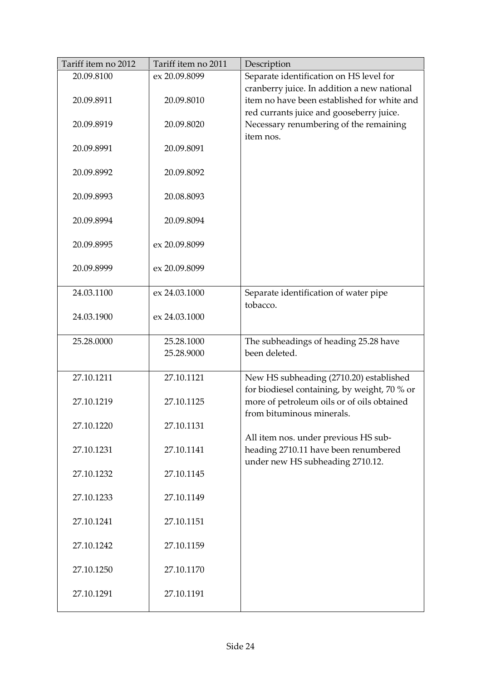| Tariff item no 2012 | Tariff item no 2011 | Description                                  |
|---------------------|---------------------|----------------------------------------------|
| 20.09.8100          | ex 20.09.8099       | Separate identification on HS level for      |
|                     |                     | cranberry juice. In addition a new national  |
| 20.09.8911          | 20.09.8010          | item no have been established for white and  |
|                     |                     | red currants juice and gooseberry juice.     |
| 20.09.8919          | 20.09.8020          | Necessary renumbering of the remaining       |
|                     |                     | item nos.                                    |
| 20.09.8991          | 20.09.8091          |                                              |
|                     |                     |                                              |
| 20.09.8992          | 20.09.8092          |                                              |
|                     |                     |                                              |
| 20.09.8993          | 20.08.8093          |                                              |
|                     |                     |                                              |
| 20.09.8994          | 20.09.8094          |                                              |
| 20.09.8995          | ex 20.09.8099       |                                              |
|                     |                     |                                              |
| 20.09.8999          | ex 20.09.8099       |                                              |
|                     |                     |                                              |
| 24.03.1100          | ex 24.03.1000       | Separate identification of water pipe        |
|                     |                     | tobacco.                                     |
| 24.03.1900          | ex 24.03.1000       |                                              |
|                     |                     |                                              |
| 25.28.0000          | 25.28.1000          | The subheadings of heading 25.28 have        |
|                     | 25.28.9000          | been deleted.                                |
|                     |                     |                                              |
| 27.10.1211          | 27.10.1121          | New HS subheading (2710.20) established      |
|                     |                     | for biodiesel containing, by weight, 70 % or |
| 27.10.1219          | 27.10.1125          | more of petroleum oils or of oils obtained   |
|                     |                     | from bituminous minerals.                    |
| 27.10.1220          | 27.10.1131          |                                              |
|                     |                     | All item nos. under previous HS sub-         |
| 27.10.1231          | 27.10.1141          | heading 2710.11 have been renumbered         |
|                     |                     | under new HS subheading 2710.12.             |
| 27.10.1232          | 27.10.1145          |                                              |
| 27.10.1233          | 27.10.1149          |                                              |
|                     |                     |                                              |
| 27.10.1241          | 27.10.1151          |                                              |
|                     |                     |                                              |
| 27.10.1242          | 27.10.1159          |                                              |
|                     |                     |                                              |
| 27.10.1250          | 27.10.1170          |                                              |
|                     |                     |                                              |
| 27.10.1291          | 27.10.1191          |                                              |
|                     |                     |                                              |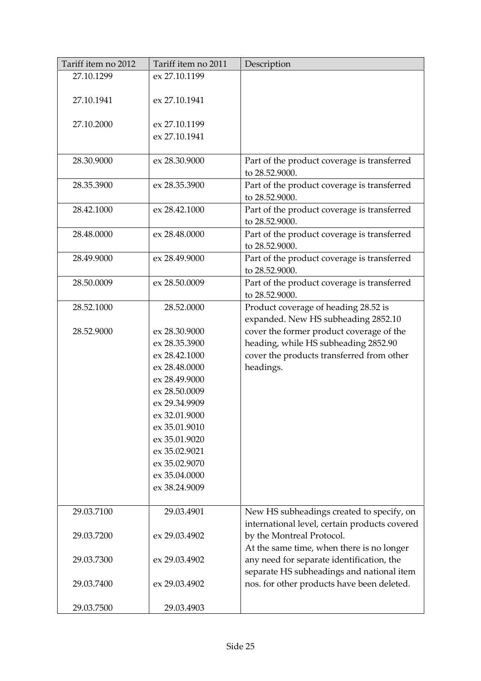| Tariff item no 2012 | Tariff item no 2011 | Description                                                   |
|---------------------|---------------------|---------------------------------------------------------------|
| 27.10.1299          | ex 27.10.1199       |                                                               |
|                     |                     |                                                               |
| 27.10.1941          | ex 27.10.1941       |                                                               |
|                     |                     |                                                               |
| 27.10.2000          | ex 27.10.1199       |                                                               |
|                     | ex 27.10.1941       |                                                               |
|                     |                     |                                                               |
| 28.30.9000          | ex 28.30.9000       | Part of the product coverage is transferred                   |
|                     |                     | to 28.52.9000.                                                |
| 28.35.3900          | ex 28.35.3900       | Part of the product coverage is transferred                   |
|                     |                     | to 28.52.9000.                                                |
| 28.42.1000          | ex 28.42.1000       | Part of the product coverage is transferred                   |
|                     |                     | to 28.52.9000.                                                |
| 28.48.0000          | ex 28.48.0000       | Part of the product coverage is transferred<br>to 28.52.9000. |
| 28.49.9000          | ex 28.49.9000       |                                                               |
|                     |                     | Part of the product coverage is transferred<br>to 28.52.9000. |
| 28.50.0009          | ex 28.50.0009       | Part of the product coverage is transferred                   |
|                     |                     | to 28.52.9000.                                                |
| 28.52.1000          | 28.52.0000          | Product coverage of heading 28.52 is                          |
|                     |                     | expanded. New HS subheading 2852.10                           |
| 28.52.9000          | ex 28.30.9000       | cover the former product coverage of the                      |
|                     | ex 28.35.3900       | heading, while HS subheading 2852.90                          |
|                     | ex 28.42.1000       | cover the products transferred from other                     |
|                     | ex 28.48.0000       | headings.                                                     |
|                     | ex 28.49.9000       |                                                               |
|                     | ex 28.50.0009       |                                                               |
|                     | ex 29.34.9909       |                                                               |
|                     | ex 32.01.9000       |                                                               |
|                     | ex 35.01.9010       |                                                               |
|                     | ex 35.01.9020       |                                                               |
|                     | ex 35.02.9021       |                                                               |
|                     | ex 35.02.9070       |                                                               |
|                     | ex 35.04.0000       |                                                               |
|                     | ex 38.24.9009       |                                                               |
|                     |                     |                                                               |
| 29.03.7100          | 29.03.4901          | New HS subheadings created to specify, on                     |
|                     |                     | international level, certain products covered                 |
| 29.03.7200          | ex 29.03.4902       | by the Montreal Protocol.                                     |
|                     |                     | At the same time, when there is no longer                     |
| 29.03.7300          | ex 29.03.4902       | any need for separate identification, the                     |
|                     |                     | separate HS subheadings and national item                     |
| 29.03.7400          | ex 29.03.4902       | nos. for other products have been deleted.                    |
|                     |                     |                                                               |
| 29.03.7500          | 29.03.4903          |                                                               |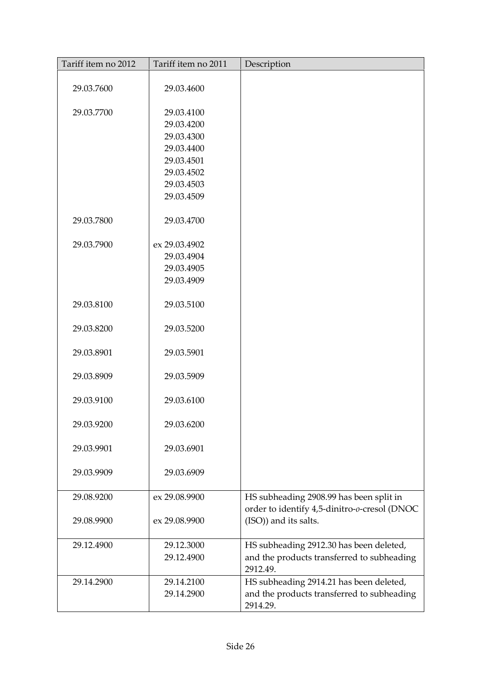| Tariff item no 2012 | Tariff item no 2011      | Description                                                                                       |
|---------------------|--------------------------|---------------------------------------------------------------------------------------------------|
|                     |                          |                                                                                                   |
| 29.03.7600          | 29.03.4600               |                                                                                                   |
| 29.03.7700          | 29.03.4100               |                                                                                                   |
|                     | 29.03.4200               |                                                                                                   |
|                     | 29.03.4300               |                                                                                                   |
|                     | 29.03.4400               |                                                                                                   |
|                     | 29.03.4501               |                                                                                                   |
|                     | 29.03.4502               |                                                                                                   |
|                     | 29.03.4503               |                                                                                                   |
|                     | 29.03.4509               |                                                                                                   |
| 29.03.7800          | 29.03.4700               |                                                                                                   |
| 29.03.7900          | ex 29.03.4902            |                                                                                                   |
|                     | 29.03.4904               |                                                                                                   |
|                     | 29.03.4905               |                                                                                                   |
|                     | 29.03.4909               |                                                                                                   |
| 29.03.8100          | 29.03.5100               |                                                                                                   |
| 29.03.8200          | 29.03.5200               |                                                                                                   |
| 29.03.8901          | 29.03.5901               |                                                                                                   |
| 29.03.8909          | 29.03.5909               |                                                                                                   |
| 29.03.9100          | 29.03.6100               |                                                                                                   |
| 29.03.9200          | 29.03.6200               |                                                                                                   |
| 29.03.9901          | 29.03.6901               |                                                                                                   |
| 29.03.9909          | 29.03.6909               |                                                                                                   |
| 29.08.9200          | ex 29.08.9900            | HS subheading 2908.99 has been split in<br>order to identify 4,5-dinitro-o-cresol (DNOC           |
| 29.08.9900          | ex 29.08.9900            | (ISO)) and its salts.                                                                             |
| 29.12.4900          | 29.12.3000               | HS subheading 2912.30 has been deleted,                                                           |
|                     | 29.12.4900               | and the products transferred to subheading<br>2912.49.                                            |
| 29.14.2900          | 29.14.2100<br>29.14.2900 | HS subheading 2914.21 has been deleted,<br>and the products transferred to subheading<br>2914.29. |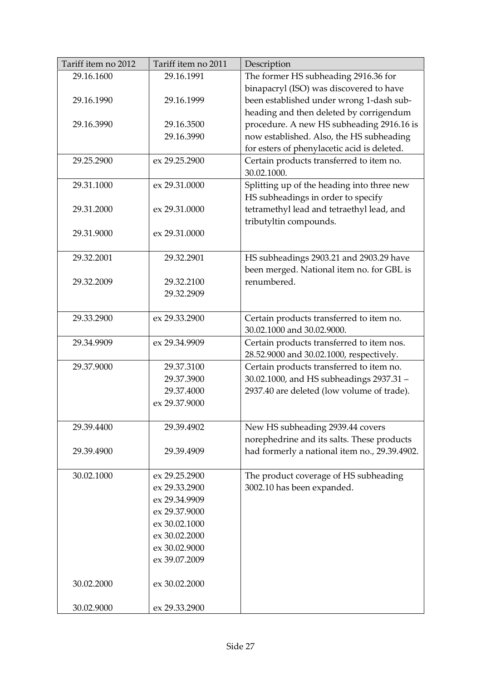| Tariff item no 2012 | Tariff item no 2011 | Description                                   |
|---------------------|---------------------|-----------------------------------------------|
| 29.16.1600          | 29.16.1991          | The former HS subheading 2916.36 for          |
|                     |                     | binapacryl (ISO) was discovered to have       |
| 29.16.1990          | 29.16.1999          | been established under wrong 1-dash sub-      |
|                     |                     | heading and then deleted by corrigendum       |
| 29.16.3990          | 29.16.3500          | procedure. A new HS subheading 2916.16 is     |
|                     | 29.16.3990          | now established. Also, the HS subheading      |
|                     |                     | for esters of phenylacetic acid is deleted.   |
| 29.25.2900          | ex 29.25.2900       | Certain products transferred to item no.      |
|                     |                     | 30.02.1000.                                   |
| 29.31.1000          | ex 29.31.0000       | Splitting up of the heading into three new    |
|                     |                     | HS subheadings in order to specify            |
| 29.31.2000          | ex 29.31.0000       | tetramethyl lead and tetraethyl lead, and     |
|                     |                     | tributyltin compounds.                        |
| 29.31.9000          | ex 29.31.0000       |                                               |
|                     |                     |                                               |
| 29.32.2001          | 29.32.2901          | HS subheadings 2903.21 and 2903.29 have       |
|                     |                     | been merged. National item no. for GBL is     |
| 29.32.2009          | 29.32.2100          | renumbered.                                   |
|                     | 29.32.2909          |                                               |
|                     |                     |                                               |
| 29.33.2900          | ex 29.33.2900       | Certain products transferred to item no.      |
|                     |                     | 30.02.1000 and 30.02.9000.                    |
| 29.34.9909          | ex 29.34.9909       | Certain products transferred to item nos.     |
|                     |                     | 28.52.9000 and 30.02.1000, respectively.      |
| 29.37.9000          | 29.37.3100          | Certain products transferred to item no.      |
|                     | 29.37.3900          | 30.02.1000, and HS subheadings 2937.31 -      |
|                     | 29.37.4000          | 2937.40 are deleted (low volume of trade).    |
|                     | ex 29.37.9000       |                                               |
|                     |                     |                                               |
| 29.39.4400          | 29.39.4902          | New HS subheading 2939.44 covers              |
|                     |                     | norephedrine and its salts. These products    |
| 29.39.4900          | 29.39.4909          | had formerly a national item no., 29.39.4902. |
|                     |                     |                                               |
| 30.02.1000          | ex 29.25.2900       | The product coverage of HS subheading         |
|                     | ex 29.33.2900       | 3002.10 has been expanded.                    |
|                     | ex 29.34.9909       |                                               |
|                     | ex 29.37.9000       |                                               |
|                     | ex 30.02.1000       |                                               |
|                     | ex 30.02.2000       |                                               |
|                     | ex 30.02.9000       |                                               |
|                     | ex 39.07.2009       |                                               |
|                     |                     |                                               |
| 30.02.2000          | ex 30.02.2000       |                                               |
|                     |                     |                                               |
| 30.02.9000          | ex 29.33.2900       |                                               |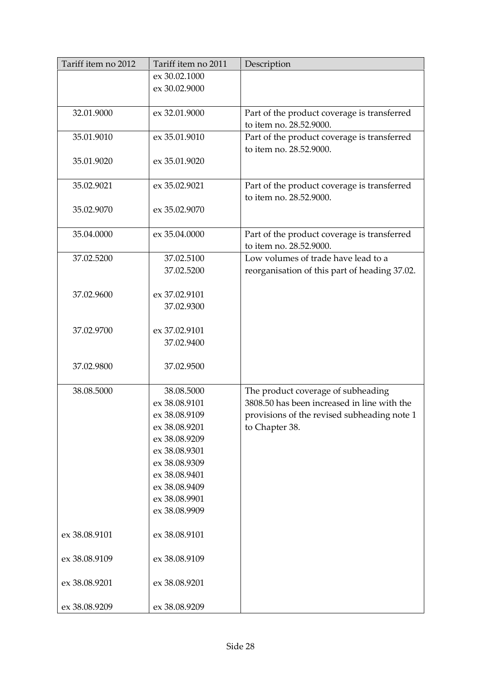| Tariff item no 2012 | Tariff item no 2011 | Description                                                            |
|---------------------|---------------------|------------------------------------------------------------------------|
|                     | ex 30.02.1000       |                                                                        |
|                     | ex 30.02.9000       |                                                                        |
|                     |                     |                                                                        |
| 32.01.9000          | ex 32.01.9000       | Part of the product coverage is transferred<br>to item no. 28.52.9000. |
| 35.01.9010          | ex 35.01.9010       | Part of the product coverage is transferred<br>to item no. 28.52.9000. |
| 35.01.9020          | ex 35.01.9020       |                                                                        |
| 35.02.9021          | ex 35.02.9021       | Part of the product coverage is transferred<br>to item no. 28.52.9000. |
| 35.02.9070          | ex 35.02.9070       |                                                                        |
| 35.04.0000          | ex 35.04.0000       | Part of the product coverage is transferred<br>to item no. 28.52.9000. |
| 37.02.5200          | 37.02.5100          | Low volumes of trade have lead to a                                    |
|                     | 37.02.5200          | reorganisation of this part of heading 37.02.                          |
|                     |                     |                                                                        |
| 37.02.9600          | ex 37.02.9101       |                                                                        |
|                     | 37.02.9300          |                                                                        |
|                     |                     |                                                                        |
| 37.02.9700          | ex 37.02.9101       |                                                                        |
|                     | 37.02.9400          |                                                                        |
| 37.02.9800          | 37.02.9500          |                                                                        |
| 38.08.5000          | 38.08.5000          | The product coverage of subheading                                     |
|                     | ex 38.08.9101       | 3808.50 has been increased in line with the                            |
|                     | ex 38.08.9109       | provisions of the revised subheading note 1                            |
|                     | ex 38.08.9201       | to Chapter 38.                                                         |
|                     | ex 38.08.9209       |                                                                        |
|                     | ex 38.08.9301       |                                                                        |
|                     | ex 38.08.9309       |                                                                        |
|                     | ex 38.08.9401       |                                                                        |
|                     | ex 38.08.9409       |                                                                        |
|                     | ex 38.08.9901       |                                                                        |
|                     | ex 38.08.9909       |                                                                        |
| ex 38.08.9101       | ex 38.08.9101       |                                                                        |
| ex 38.08.9109       | ex 38.08.9109       |                                                                        |
| ex 38.08.9201       | ex 38.08.9201       |                                                                        |
| ex 38.08.9209       | ex 38.08.9209       |                                                                        |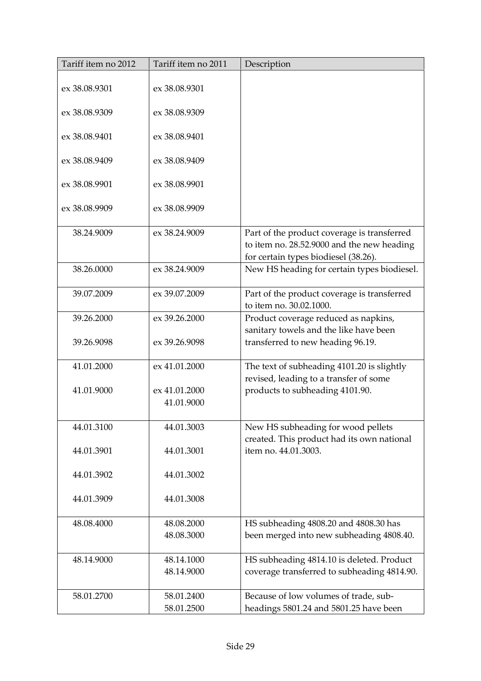| Tariff item no 2012 | Tariff item no 2011         | Description                                                                                                                       |
|---------------------|-----------------------------|-----------------------------------------------------------------------------------------------------------------------------------|
| ex 38.08.9301       | ex 38.08.9301               |                                                                                                                                   |
| ex 38.08.9309       | ex 38.08.9309               |                                                                                                                                   |
| ex 38.08.9401       | ex 38.08.9401               |                                                                                                                                   |
| ex 38.08.9409       | ex 38.08.9409               |                                                                                                                                   |
| ex 38.08.9901       | ex 38.08.9901               |                                                                                                                                   |
| ex 38.08.9909       | ex 38.08.9909               |                                                                                                                                   |
| 38.24.9009          | ex 38.24.9009               | Part of the product coverage is transferred<br>to item no. 28.52.9000 and the new heading<br>for certain types biodiesel (38.26). |
| 38.26.0000          | ex 38.24.9009               | New HS heading for certain types biodiesel.                                                                                       |
| 39.07.2009          | ex 39.07.2009               | Part of the product coverage is transferred<br>to item no. 30.02.1000.                                                            |
| 39.26.2000          | ex 39.26.2000               | Product coverage reduced as napkins,<br>sanitary towels and the like have been                                                    |
| 39.26.9098          | ex 39.26.9098               | transferred to new heading 96.19.                                                                                                 |
| 41.01.2000          | ex 41.01.2000               | The text of subheading 4101.20 is slightly<br>revised, leading to a transfer of some                                              |
| 41.01.9000          | ex 41.01.2000<br>41.01.9000 | products to subheading 4101.90.                                                                                                   |
| 44.01.3100          | 44.01.3003                  | New HS subheading for wood pellets<br>created. This product had its own national                                                  |
| 44.01.3901          | 44.01.3001                  | item no. 44.01.3003.                                                                                                              |
| 44.01.3902          | 44.01.3002                  |                                                                                                                                   |
| 44.01.3909          | 44.01.3008                  |                                                                                                                                   |
| 48.08.4000          | 48.08.2000                  | HS subheading 4808.20 and 4808.30 has                                                                                             |
|                     | 48.08.3000                  | been merged into new subheading 4808.40.                                                                                          |
| 48.14.9000          | 48.14.1000                  | HS subheading 4814.10 is deleted. Product                                                                                         |
|                     | 48.14.9000                  | coverage transferred to subheading 4814.90.                                                                                       |
| 58.01.2700          | 58.01.2400                  | Because of low volumes of trade, sub-                                                                                             |
|                     | 58.01.2500                  | headings 5801.24 and 5801.25 have been                                                                                            |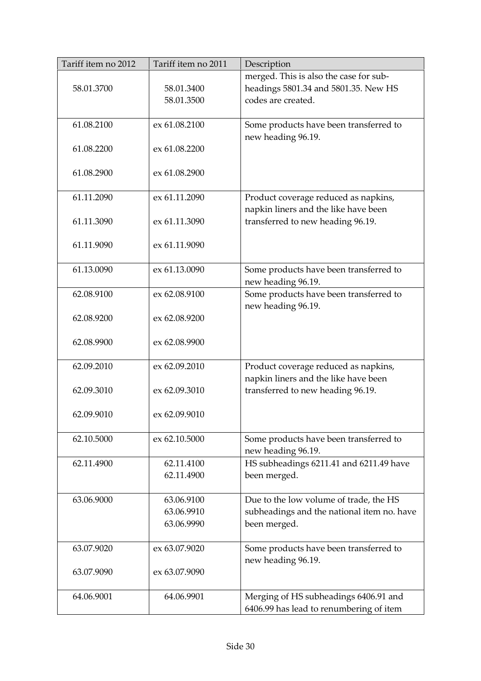| Tariff item no 2012 | Tariff item no 2011 | Description                                |
|---------------------|---------------------|--------------------------------------------|
|                     |                     | merged. This is also the case for sub-     |
| 58.01.3700          | 58.01.3400          | headings 5801.34 and 5801.35. New HS       |
|                     | 58.01.3500          | codes are created.                         |
|                     |                     |                                            |
| 61.08.2100          | ex 61.08.2100       | Some products have been transferred to     |
|                     |                     | new heading 96.19.                         |
| 61.08.2200          | ex 61.08.2200       |                                            |
|                     |                     |                                            |
| 61.08.2900          | ex 61.08.2900       |                                            |
|                     |                     |                                            |
| 61.11.2090          | ex 61.11.2090       | Product coverage reduced as napkins,       |
|                     |                     | napkin liners and the like have been       |
| 61.11.3090          | ex 61.11.3090       | transferred to new heading 96.19.          |
|                     |                     |                                            |
| 61.11.9090          | ex 61.11.9090       |                                            |
|                     |                     |                                            |
| 61.13.0090          | ex 61.13.0090       | Some products have been transferred to     |
|                     |                     | new heading 96.19.                         |
| 62.08.9100          | ex 62.08.9100       | Some products have been transferred to     |
|                     |                     | new heading 96.19.                         |
| 62.08.9200          | ex 62.08.9200       |                                            |
|                     |                     |                                            |
| 62.08.9900          | ex 62.08.9900       |                                            |
|                     |                     |                                            |
| 62.09.2010          | ex 62.09.2010       | Product coverage reduced as napkins,       |
|                     |                     | napkin liners and the like have been       |
| 62.09.3010          | ex 62.09.3010       | transferred to new heading 96.19.          |
|                     |                     |                                            |
| 62.09.9010          | ex 62.09.9010       |                                            |
|                     |                     |                                            |
| 62.10.5000          | ex 62.10.5000       | Some products have been transferred to     |
|                     |                     | new heading 96.19.                         |
| 62.11.4900          | 62.11.4100          | HS subheadings 6211.41 and 6211.49 have    |
|                     | 62.11.4900          | been merged.                               |
|                     |                     |                                            |
| 63.06.9000          | 63.06.9100          | Due to the low volume of trade, the HS     |
|                     | 63.06.9910          | subheadings and the national item no. have |
|                     | 63.06.9990          | been merged.                               |
|                     |                     |                                            |
| 63.07.9020          | ex 63.07.9020       | Some products have been transferred to     |
|                     |                     | new heading 96.19.                         |
| 63.07.9090          | ex 63.07.9090       |                                            |
|                     |                     |                                            |
| 64.06.9001          | 64.06.9901          | Merging of HS subheadings 6406.91 and      |
|                     |                     | 6406.99 has lead to renumbering of item    |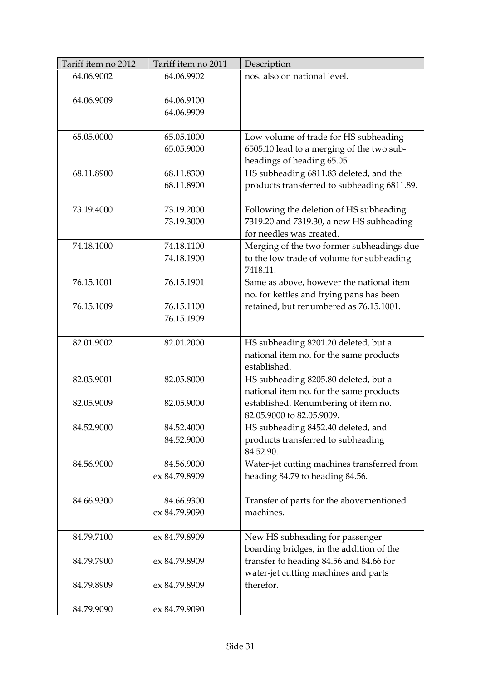| Tariff item no 2012 | Tariff item no 2011      | Description                                                                        |
|---------------------|--------------------------|------------------------------------------------------------------------------------|
| 64.06.9002          | 64.06.9902               | nos. also on national level.                                                       |
|                     |                          |                                                                                    |
| 64.06.9009          | 64.06.9100               |                                                                                    |
|                     | 64.06.9909               |                                                                                    |
| 65.05.0000          | 65.05.1000               |                                                                                    |
|                     | 65.05.9000               | Low volume of trade for HS subheading<br>6505.10 lead to a merging of the two sub- |
|                     |                          | headings of heading 65.05.                                                         |
| 68.11.8900          | 68.11.8300               | HS subheading 6811.83 deleted, and the                                             |
|                     | 68.11.8900               | products transferred to subheading 6811.89.                                        |
|                     |                          |                                                                                    |
| 73.19.4000          | 73.19.2000               | Following the deletion of HS subheading                                            |
|                     | 73.19.3000               | 7319.20 and 7319.30, a new HS subheading                                           |
|                     |                          | for needles was created.                                                           |
| 74.18.1000          | 74.18.1100               | Merging of the two former subheadings due                                          |
|                     | 74.18.1900               | to the low trade of volume for subheading                                          |
|                     |                          | 7418.11.                                                                           |
| 76.15.1001          | 76.15.1901               | Same as above, however the national item                                           |
|                     |                          | no. for kettles and frying pans has been                                           |
| 76.15.1009          | 76.15.1100<br>76.15.1909 | retained, but renumbered as 76.15.1001.                                            |
|                     |                          |                                                                                    |
| 82.01.9002          | 82.01.2000               | HS subheading 8201.20 deleted, but a                                               |
|                     |                          | national item no. for the same products                                            |
|                     |                          | established.                                                                       |
| 82.05.9001          | 82.05.8000               | HS subheading 8205.80 deleted, but a                                               |
|                     |                          | national item no. for the same products                                            |
| 82.05.9009          | 82.05.9000               | established. Renumbering of item no.                                               |
|                     |                          | 82.05.9000 to 82.05.9009.                                                          |
| 84.52.9000          | 84.52.4000               | HS subheading 8452.40 deleted, and                                                 |
|                     | 84.52.9000               | products transferred to subheading                                                 |
| 84.56.9000          | 84.56.9000               | 84.52.90.<br>Water-jet cutting machines transferred from                           |
|                     | ex 84.79.8909            | heading 84.79 to heading 84.56.                                                    |
|                     |                          |                                                                                    |
| 84.66.9300          | 84.66.9300               | Transfer of parts for the abovementioned                                           |
|                     | ex 84.79.9090            | machines.                                                                          |
|                     |                          |                                                                                    |
| 84.79.7100          | ex 84.79.8909            | New HS subheading for passenger                                                    |
|                     |                          | boarding bridges, in the addition of the                                           |
| 84.79.7900          | ex 84.79.8909            | transfer to heading 84.56 and 84.66 for                                            |
|                     |                          | water-jet cutting machines and parts                                               |
| 84.79.8909          | ex 84.79.8909            | therefor.                                                                          |
|                     |                          |                                                                                    |
| 84.79.9090          | ex 84.79.9090            |                                                                                    |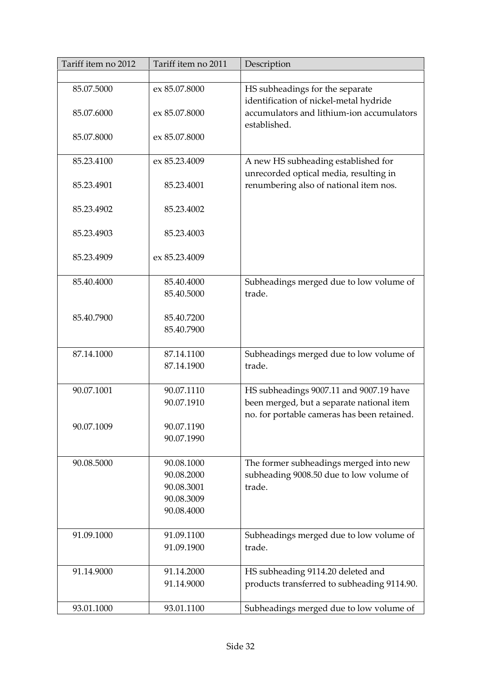| Tariff item no 2012 | Tariff item no 2011 | Description                                                                   |
|---------------------|---------------------|-------------------------------------------------------------------------------|
|                     |                     |                                                                               |
| 85.07.5000          | ex 85.07.8000       | HS subheadings for the separate                                               |
|                     |                     | identification of nickel-metal hydride                                        |
| 85.07.6000          | ex 85.07.8000       | accumulators and lithium-ion accumulators                                     |
|                     |                     | established.                                                                  |
| 85.07.8000          | ex 85.07.8000       |                                                                               |
|                     |                     |                                                                               |
| 85.23.4100          | ex 85.23.4009       | A new HS subheading established for<br>unrecorded optical media, resulting in |
| 85.23.4901          | 85.23.4001          | renumbering also of national item nos.                                        |
|                     |                     |                                                                               |
| 85.23.4902          | 85.23.4002          |                                                                               |
|                     |                     |                                                                               |
| 85.23.4903          | 85.23.4003          |                                                                               |
|                     |                     |                                                                               |
| 85.23.4909          | ex 85.23.4009       |                                                                               |
|                     |                     |                                                                               |
| 85.40.4000          | 85.40.4000          | Subheadings merged due to low volume of<br>trade.                             |
|                     | 85.40.5000          |                                                                               |
| 85.40.7900          | 85.40.7200          |                                                                               |
|                     | 85.40.7900          |                                                                               |
|                     |                     |                                                                               |
| 87.14.1000          | 87.14.1100          | Subheadings merged due to low volume of                                       |
|                     | 87.14.1900          | trade.                                                                        |
|                     |                     |                                                                               |
| 90.07.1001          | 90.07.1110          | HS subheadings 9007.11 and 9007.19 have                                       |
|                     | 90.07.1910          | been merged, but a separate national item                                     |
|                     |                     | no. for portable cameras has been retained.                                   |
| 90.07.1009          | 90.07.1190          |                                                                               |
|                     | 90.07.1990          |                                                                               |
| 90.08.5000          | 90.08.1000          | The former subheadings merged into new                                        |
|                     | 90.08.2000          | subheading 9008.50 due to low volume of                                       |
|                     | 90.08.3001          | trade.                                                                        |
|                     | 90.08.3009          |                                                                               |
|                     | 90.08.4000          |                                                                               |
|                     |                     |                                                                               |
| 91.09.1000          | 91.09.1100          | Subheadings merged due to low volume of                                       |
|                     | 91.09.1900          | trade.                                                                        |
|                     |                     |                                                                               |
| 91.14.9000          | 91.14.2000          | HS subheading 9114.20 deleted and                                             |
|                     | 91.14.9000          | products transferred to subheading 9114.90.                                   |
| 93.01.1000          | 93.01.1100          | Subheadings merged due to low volume of                                       |
|                     |                     |                                                                               |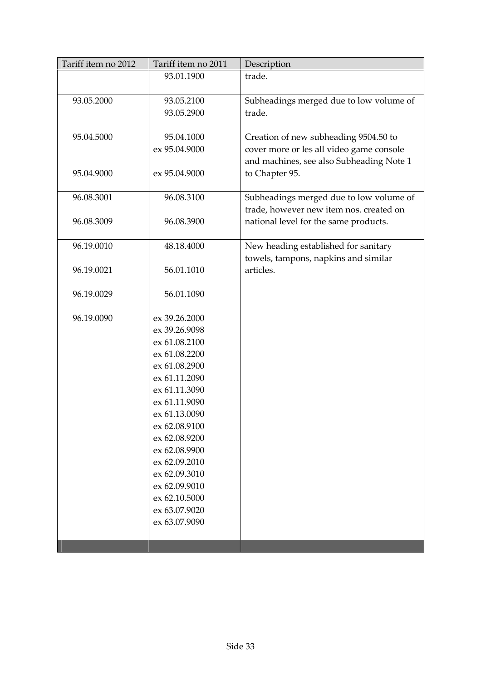| Tariff item no 2012 | Tariff item no 2011 | Description                                                                          |
|---------------------|---------------------|--------------------------------------------------------------------------------------|
|                     | 93.01.1900          | trade.                                                                               |
| 93.05.2000          | 93.05.2100          | Subheadings merged due to low volume of                                              |
|                     | 93.05.2900          | trade.                                                                               |
| 95.04.5000          | 95.04.1000          | Creation of new subheading 9504.50 to                                                |
|                     | ex 95.04.9000       | cover more or les all video game console<br>and machines, see also Subheading Note 1 |
| 95.04.9000          | ex 95.04.9000       | to Chapter 95.                                                                       |
| 96.08.3001          | 96.08.3100          | Subheadings merged due to low volume of<br>trade, however new item nos. created on   |
| 96.08.3009          | 96.08.3900          | national level for the same products.                                                |
| 96.19.0010          | 48.18.4000          | New heading established for sanitary<br>towels, tampons, napkins and similar         |
| 96.19.0021          | 56.01.1010          | articles.                                                                            |
| 96.19.0029          | 56.01.1090          |                                                                                      |
| 96.19.0090          | ex 39.26.2000       |                                                                                      |
|                     | ex 39.26.9098       |                                                                                      |
|                     | ex 61.08.2100       |                                                                                      |
|                     | ex 61.08.2200       |                                                                                      |
|                     | ex 61.08.2900       |                                                                                      |
|                     | ex 61.11.2090       |                                                                                      |
|                     | ex 61.11.3090       |                                                                                      |
|                     | ex 61.11.9090       |                                                                                      |
|                     | ex 61.13.0090       |                                                                                      |
|                     | ex 62.08.9100       |                                                                                      |
|                     | ex 62.08.9200       |                                                                                      |
|                     | ex 62.08.9900       |                                                                                      |
|                     | ex 62.09.2010       |                                                                                      |
|                     | ex 62.09.3010       |                                                                                      |
|                     | ex 62.09.9010       |                                                                                      |
|                     | ex 62.10.5000       |                                                                                      |
|                     | ex 63.07.9020       |                                                                                      |
|                     | ex 63.07.9090       |                                                                                      |
|                     |                     |                                                                                      |
|                     |                     |                                                                                      |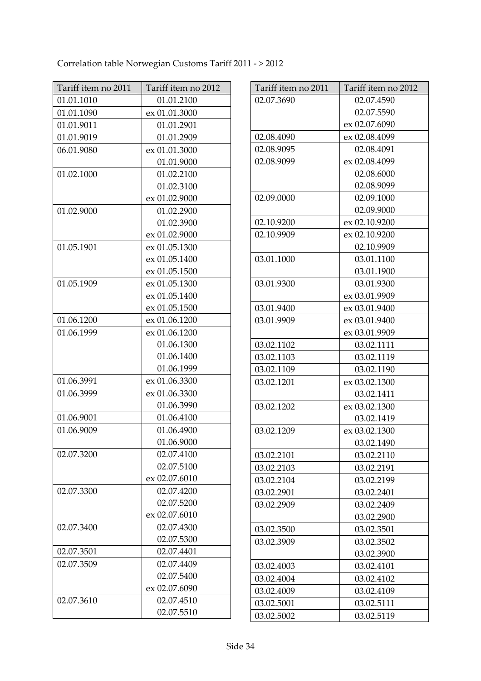Correlation table Norwegian Customs Tariff 2011 - > 2012

| Tariff item no 2011 | Tariff item no 2012 |
|---------------------|---------------------|
| 01.01.1010          | 01.01.2100          |
| 01.01.1090          | ex 01.01.3000       |
| 01.01.9011          | 01.01.2901          |
| 01.01.9019          | 01.01.2909          |
| 06.01.9080          | ex 01.01.3000       |
|                     | 01.01.9000          |
| 01.02.1000          | 01.02.2100          |
|                     | 01.02.3100          |
|                     | ex 01.02.9000       |
| 01.02.9000          | 01.02.2900          |
|                     | 01.02.3900          |
|                     | ex 01.02.9000       |
| 01.05.1901          | ex 01.05.1300       |
|                     | ex 01.05.1400       |
|                     | ex 01.05.1500       |
| 01.05.1909          | ex 01.05.1300       |
|                     | ex 01.05.1400       |
|                     | ex 01.05.1500       |
| 01.06.1200          | ex 01.06.1200       |
| 01.06.1999          | ex 01.06.1200       |
|                     | 01.06.1300          |
|                     | 01.06.1400          |
|                     | 01.06.1999          |
| 01.06.3991          | ex 01.06.3300       |
| 01.06.3999          | ex 01.06.3300       |
|                     | 01.06.3990          |
| 01.06.9001          | 01.06.4100          |
| 01.06.9009          | 01.06.4900          |
|                     | 01.06.9000          |
| 02.07.3200          | 02.07.4100          |
|                     | 02.07.5100          |
|                     | ex 02.07.6010       |
| 02.07.3300          | 02.07.4200          |
|                     | 02.07.5200          |
|                     | ex 02.07.6010       |
| 02.07.3400          | 02.07.4300          |
|                     | 02.07.5300          |
| 02.07.3501          | 02.07.4401          |
| 02.07.3509          | 02.07.4409          |
|                     | 02.07.5400          |
|                     | ex 02.07.6090       |
| 02.07.3610          | 02.07.4510          |
|                     | 02.07.5510          |

| Tariff item no 2011 | Tariff item no 2012 |
|---------------------|---------------------|
| 02.07.3690          | 02.07.4590          |
|                     | 02.07.5590          |
|                     | ex 02.07.6090       |
| 02.08.4090          | ex 02.08.4099       |
| 02.08.9095          | 02.08.4091          |
| 02.08.9099          | ex 02.08.4099       |
|                     | 02.08.6000          |
|                     | 02.08.9099          |
| 02.09.0000          | 02.09.1000          |
|                     | 02.09.9000          |
| 02.10.9200          | ex 02.10.9200       |
| 02.10.9909          | ex 02.10.9200       |
|                     | 02.10.9909          |
| 03.01.1000          | 03.01.1100          |
|                     | 03.01.1900          |
| 03.01.9300          | 03.01.9300          |
|                     | ex 03.01.9909       |
| 03.01.9400          | ex 03.01.9400       |
| 03.01.9909          | ex 03.01.9400       |
|                     | ex 03.01.9909       |
| 03.02.1102          | 03.02.1111          |
| 03.02.1103          | 03.02.1119          |
| 03.02.1109          | 03.02.1190          |
| 03.02.1201          | ex 03.02.1300       |
|                     | 03.02.1411          |
| 03.02.1202          | ex 03.02.1300       |
|                     | 03.02.1419          |
| 03.02.1209          | ex 03.02.1300       |
|                     | 03.02.1490          |
| 03.02.2101          | 03.02.2110          |
| 03.02.2103          | 03.02.2191          |
| 03.02.2104          | 03.02.2199          |
| 03.02.2901          | 03.02.2401          |
| 03.02.2909          | 03.02.2409          |
|                     | 03.02.2900          |
| 03.02.3500          | 03.02.3501          |
| 03.02.3909          | 03.02.3502          |
|                     | 03.02.3900          |
| 03.02.4003          | 03.02.4101          |
| 03.02.4004          | 03.02.4102          |
| 03.02.4009          | 03.02.4109          |
| 03.02.5001          | 03.02.5111          |
| 03.02.5002          | 03.02.5119          |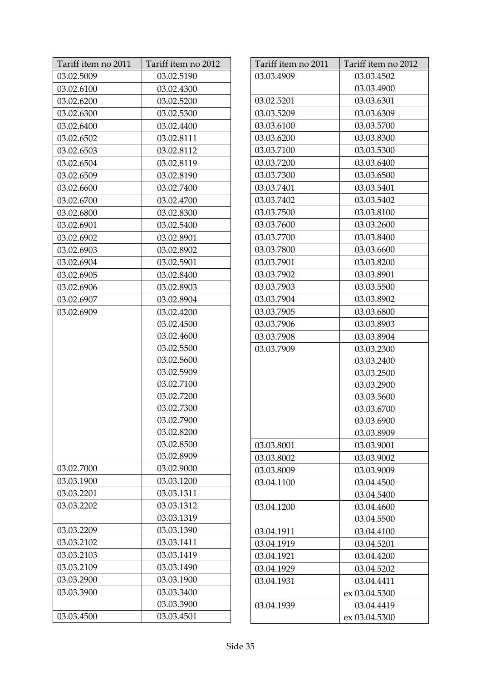| Tariff item no 2011 | Tariff item no 2012 |
|---------------------|---------------------|
| 03.02.5009          | 03.02.5190          |
| 03.02.6100          | 03.02.4300          |
| 03.02.6200          | 03.02.5200          |
| 03.02.6300          | 03.02.5300          |
| 03.02.6400          | 03.02.4400          |
| 03.02.6502          | 03.02.8111          |
| 03.02.6503          | 03.02.8112          |
| 03.02.6504          | 03.02.8119          |
| 03.02.6509          | 03.02.8190          |
| 03.02.6600          | 03.02.7400          |
| 03.02.6700          | 03.02.4700          |
| 03.02.6800          | 03.02.8300          |
| 03.02.6901          | 03.02.5400          |
| 03.02.6902          | 03.02.8901          |
| 03.02.6903          | 03.02.8902          |
| 03.02.6904          | 03.02.5901          |
| 03.02.6905          | 03.02.8400          |
| 03.02.6906          | 03.02.8903          |
| 03.02.6907          | 03.02.8904          |
| 03.02.6909          | 03.02.4200          |
|                     | 03.02.4500          |
|                     | 03.02.4600          |
|                     | 03.02.5500          |
|                     | 03.02.5600          |
|                     | 03.02.5909          |
|                     | 03.02.7100          |
|                     | 03.02.7200          |
|                     | 03.02.7300          |
|                     | 03.02.7900          |
|                     | 03.02.8200          |
|                     | 03.02.8500          |
|                     | 03.02.8909          |
| 03.02.7000          | 03.02.9000          |
| 03.03.1900          | 03.03.1200          |
| 03.03.2201          | 03.03.1311          |
| 03.03.2202          | 03.03.1312          |
|                     | 03.03.1319          |
| 03.03.2209          | 03.03.1390          |
| 03.03.2102          | 03.03.1411          |
| 03.03.2103          | 03.03.1419          |
| 03.03.2109          | 03.03.1490          |
| 03.03.2900          | 03.03.1900          |
| 03.03.3900          | 03.03.3400          |
|                     | 03.03.3900          |
| 03.03.4500          | 03.03.4501          |

| Tariff item no 2011 | Tariff item no 2012 |
|---------------------|---------------------|
| 03.03.4909          | 03.03.4502          |
|                     | 03.03.4900          |
| 03.02.5201          | 03.03.6301          |
| 03.03.5209          | 03.03.6309          |
| 03.03.6100          | 03.03.5700          |
| 03.03.6200          | 03.03.8300          |
| 03.03.7100          | 03.03.5300          |
| 03.03.7200          | 03.03.6400          |
| 03.03.7300          | 03.03.6500          |
| 03.03.7401          | 03.03.5401          |
| 03.03.7402          | 03.03.5402          |
| 03.03.7500          | 03.03.8100          |
| 03.03.7600          | 03.03.2600          |
| 03.03.7700          | 03.03.8400          |
| 03.03.7800          | 03.03.6600          |
| 03.03.7901          | 03.03.8200          |
| 03.03.7902          | 03.03.8901          |
| 03.03.7903          | 03.03.5500          |
| 03.03.7904          | 03.03.8902          |
| 03.03.7905          | 03.03.6800          |
| 03.03.7906          | 03.03.8903          |
| 03.03.7908          | 03.03.8904          |
| 03.03.7909          | 03.03.2300          |
|                     | 03.03.2400          |
|                     | 03.03.2500          |
|                     | 03.03.2900          |
|                     | 03.03.5600          |
|                     | 03.03.6700          |
|                     | 03.03.6900          |
|                     | 03.03.8909          |
| 03.03.8001          | 03.03.9001          |
| 03.03.8002          | 03.03.9002          |
| 03.03.8009          | 03.03.9009          |
| 03.04.1100          | 03.04.4500          |
|                     | 03.04.5400          |
| 03.04.1200          | 03.04.4600          |
|                     | 03.04.5500          |
| 03.04.1911          | 03.04.4100          |
| 03.04.1919          | 03.04.5201          |
| 03.04.1921          | 03.04.4200          |
| 03.04.1929          | 03.04.5202          |
| 03.04.1931          | 03.04.4411          |
|                     | ex 03.04.5300       |
| 03.04.1939          | 03.04.4419          |
|                     | ex 03.04.5300       |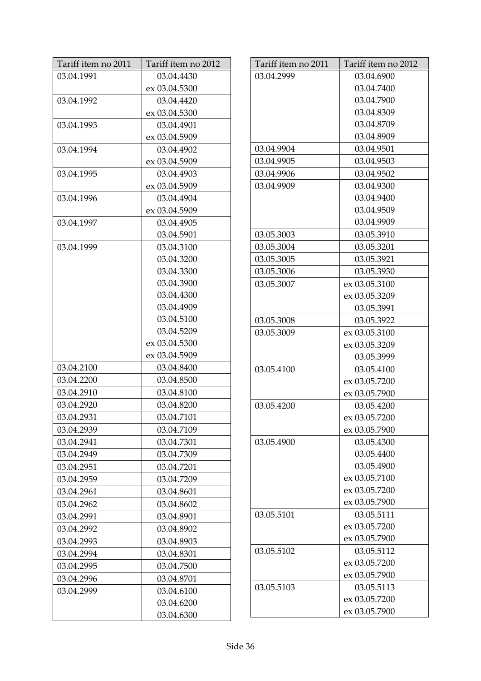| Tariff item no 2011 | Tariff item no 2012 |
|---------------------|---------------------|
| 03.04.1991          | 03.04.4430          |
|                     | ex 03.04.5300       |
| 03.04.1992          | 03.04.4420          |
|                     | ex 03.04.5300       |
| 03.04.1993          | 03.04.4901          |
|                     | ex 03.04.5909       |
| 03.04.1994          | 03.04.4902          |
|                     | ex 03.04.5909       |
| 03.04.1995          | 03.04.4903          |
|                     | ex 03.04.5909       |
| 03.04.1996          | 03.04.4904          |
|                     | ex 03.04.5909       |
| 03.04.1997          | 03.04.4905          |
|                     | 03.04.5901          |
| 03.04.1999          | 03.04.3100          |
|                     | 03.04.3200          |
|                     | 03.04.3300          |
|                     | 03.04.3900          |
|                     | 03.04.4300          |
|                     | 03.04.4909          |
|                     | 03.04.5100          |
|                     | 03.04.5209          |
|                     | ex 03.04.5300       |
|                     | ex 03.04.5909       |
| 03.04.2100          | 03.04.8400          |
| 03.04.2200          | 03.04.8500          |
| 03.04.2910          | 03.04.8100          |
| 03.04.2920          | 03.04.8200          |
| 03.04.2931          | 03.04.7101          |
| 03.04.2939          | 03.04.7109          |
| 03.04.2941          | 03.04.7301          |
| 03.04.2949          | 03.04.7309          |
| 03.04.2951          | 03.04.7201          |
| 03.04.2959          | 03.04.7209          |
| 03.04.2961          | 03.04.8601          |
| 03.04.2962          | 03.04.8602          |
| 03.04.2991          | 03.04.8901          |
| 03.04.2992          | 03.04.8902          |
| 03.04.2993          | 03.04.8903          |
| 03.04.2994          | 03.04.8301          |
| 03.04.2995          | 03.04.7500          |
| 03.04.2996          | 03.04.8701          |
| 03.04.2999          | 03.04.6100          |
|                     | 03.04.6200          |
|                     | 03.04.6300          |

| Tariff item no 2011 | Tariff item no 2012 |
|---------------------|---------------------|
| 03.04.2999          | 03.04.6900          |
|                     | 03.04.7400          |
|                     | 03.04.7900          |
|                     | 03.04.8309          |
|                     | 03.04.8709          |
|                     | 03.04.8909          |
| 03.04.9904          | 03.04.9501          |
| 03.04.9905          | 03.04.9503          |
| 03.04.9906          | 03.04.9502          |
| 03.04.9909          | 03.04.9300          |
|                     | 03.04.9400          |
|                     | 03.04.9509          |
|                     | 03.04.9909          |
| 03.05.3003          | 03.05.3910          |
| 03.05.3004          | 03.05.3201          |
| 03.05.3005          | 03.05.3921          |
| 03.05.3006          | 03.05.3930          |
| 03.05.3007          | ex 03.05.3100       |
|                     | ex 03.05.3209       |
|                     | 03.05.3991          |
| 03.05.3008          | 03.05.3922          |
| 03.05.3009          | ex 03.05.3100       |
|                     | ex 03.05.3209       |
|                     | 03.05.3999          |
| 03.05.4100          | 03.05.4100          |
|                     | ex 03.05.7200       |
|                     | ex 03.05.7900       |
| 03.05.4200          | 03.05.4200          |
|                     | ex 03.05.7200       |
|                     | ex 03.05.7900       |
| 03.05.4900          | 03.05.4300          |
|                     | 03.05.4400          |
|                     | 03.05.4900          |
|                     | ex 03.05.7100       |
|                     | ex 03.05.7200       |
|                     | ex 03.05.7900       |
| 03.05.5101          | 03.05.5111          |
|                     | ex 03.05.7200       |
|                     | ex 03.05.7900       |
| 03.05.5102          | 03.05.5112          |
|                     | ex 03.05.7200       |
|                     | ex 03.05.7900       |
| 03.05.5103          | 03.05.5113          |
|                     | ex 03.05.7200       |
|                     | ex 03.05.7900       |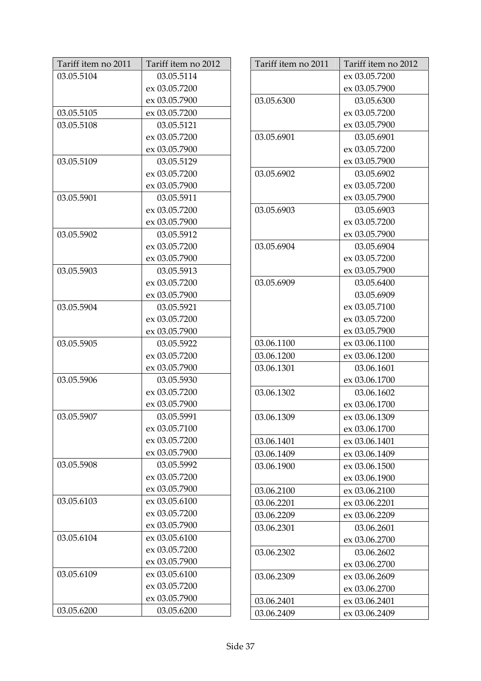| Tariff item no 2011 | Tariff item no 2012 |
|---------------------|---------------------|
| 03.05.5104          | 03.05.5114          |
|                     | ex 03.05.7200       |
|                     | ex 03.05.7900       |
| 03.05.5105          | ex 03.05.7200       |
| 03.05.5108          | 03.05.5121          |
|                     | ex 03.05.7200       |
|                     | ex 03.05.7900       |
| 03.05.5109          | 03.05.5129          |
|                     | ex 03.05.7200       |
|                     | ex 03.05.7900       |
| 03.05.5901          | 03.05.5911          |
|                     | ex 03.05.7200       |
|                     | ex 03.05.7900       |
| 03.05.5902          | 03.05.5912          |
|                     | ex 03.05.7200       |
|                     | ex 03.05.7900       |
| 03.05.5903          | 03.05.5913          |
|                     | ex 03.05.7200       |
|                     | ex 03.05.7900       |
| 03.05.5904          | 03.05.5921          |
|                     | ex 03.05.7200       |
|                     | ex 03.05.7900       |
| 03.05.5905          | 03.05.5922          |
|                     | ex 03.05.7200       |
|                     | ex 03.05.7900       |
| 03.05.5906          | 03.05.5930          |
|                     | ex 03.05.7200       |
|                     | ex 03.05.7900       |
| 03.05.5907          | 03.05.5991          |
|                     | ex 03.05.7100       |
|                     | ex 03.05.7200       |
|                     | ex 03.05.7900       |
| 03.05.5908          | 03.05.5992          |
|                     | ex 03.05.7200       |
|                     | ex 03.05.7900       |
| 03.05.6103          | ex 03.05.6100       |
|                     | ex 03.05.7200       |
|                     | ex 03.05.7900       |
| 03.05.6104          | ex 03.05.6100       |
|                     | ex 03.05.7200       |
|                     | ex 03.05.7900       |
| 03.05.6109          | ex 03.05.6100       |
|                     | ex 03.05.7200       |
|                     | ex 03.05.7900       |
| 03.05.6200          | 03.05.6200          |

| Tariff item no 2011 | Tariff item no 2012 |
|---------------------|---------------------|
|                     | ex 03.05.7200       |
|                     | ex 03.05.7900       |
| 03.05.6300          | 03.05.6300          |
|                     | ex 03.05.7200       |
|                     | ex 03.05.7900       |
| 03.05.6901          | 03.05.6901          |
|                     | ex 03.05.7200       |
|                     | ex 03.05.7900       |
| 03.05.6902          | 03.05.6902          |
|                     | ex 03.05.7200       |
|                     | ex 03.05.7900       |
| 03.05.6903          | 03.05.6903          |
|                     | ex 03.05.7200       |
|                     | ex 03.05.7900       |
| 03.05.6904          | 03.05.6904          |
|                     | ex 03.05.7200       |
|                     | ex 03.05.7900       |
| 03.05.6909          | 03.05.6400          |
|                     | 03.05.6909          |
|                     | ex 03.05.7100       |
|                     | ex 03.05.7200       |
|                     | ex 03.05.7900       |
| 03.06.1100          | ex 03.06.1100       |
| 03.06.1200          | ex 03.06.1200       |
| 03.06.1301          | 03.06.1601          |
|                     | ex 03.06.1700       |
| 03.06.1302          | 03.06.1602          |
|                     | ex 03.06.1700       |
| 03.06.1309          | ex 03.06.1309       |
|                     | ex 03.06.1700       |
| 03.06.1401          | ex 03.06.1401       |
| 03.06.1409          | ex 03.06.1409       |
| 03.06.1900          | ex 03.06.1500       |
|                     | ex 03.06.1900       |
| 03.06.2100          | ex 03.06.2100       |
| 03.06.2201          | ex 03.06.2201       |
| 03.06.2209          | ex 03.06.2209       |
| 03.06.2301          | 03.06.2601          |
|                     | ex 03.06.2700       |
| 03.06.2302          | 03.06.2602          |
|                     | ex 03.06.2700       |
| 03.06.2309          | ex 03.06.2609       |
|                     | ex 03.06.2700       |
| 03.06.2401          | ex 03.06.2401       |
| 03.06.2409          | ex 03.06.2409       |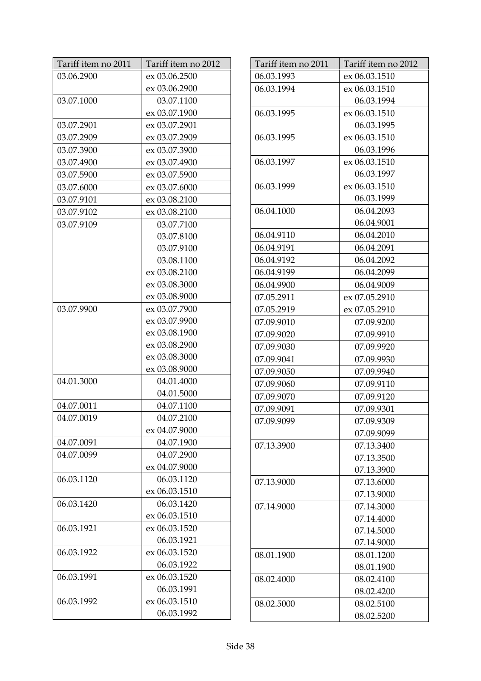| Tariff item no 2011 | Tariff item no 2012 |
|---------------------|---------------------|
| 03.06.2900          | ex 03.06.2500       |
|                     | ex 03.06.2900       |
| 03.07.1000          | 03.07.1100          |
|                     | ex 03.07.1900       |
| 03.07.2901          | ex 03.07.2901       |
| 03.07.2909          | ex 03.07.2909       |
| 03.07.3900          | ex 03.07.3900       |
| 03.07.4900          | ex 03.07.4900       |
| 03.07.5900          | ex 03.07.5900       |
| 03.07.6000          | ex 03.07.6000       |
| 03.07.9101          | ex 03.08.2100       |
| 03.07.9102          | ex 03.08.2100       |
| 03.07.9109          | 03.07.7100          |
|                     | 03.07.8100          |
|                     | 03.07.9100          |
|                     | 03.08.1100          |
|                     | ex 03.08.2100       |
|                     | ex 03.08.3000       |
|                     | ex 03.08.9000       |
| 03.07.9900          | ex 03.07.7900       |
|                     | ex 03.07.9900       |
|                     | ex 03.08.1900       |
|                     | ex 03.08.2900       |
|                     | ex 03.08.3000       |
|                     | ex 03.08.9000       |
| 04.01.3000          | 04.01.4000          |
|                     | 04.01.5000          |
| 04.07.0011          | 04.07.1100          |
| 04.07.0019          | 04.07.2100          |
|                     | ex 04.07.9000       |
| 04.07.0091          | 04.07.1900          |
| 04.07.0099          | 04.07.2900          |
|                     | ex 04.07.9000       |
| 06.03.1120          | 06.03.1120          |
|                     | ex 06.03.1510       |
| 06.03.1420          | 06.03.1420          |
|                     | ex 06.03.1510       |
| 06.03.1921          | ex 06.03.1520       |
|                     | 06.03.1921          |
| 06.03.1922          | ex 06.03.1520       |
|                     | 06.03.1922          |
| 06.03.1991          | ex 06.03.1520       |
|                     | 06.03.1991          |
| 06.03.1992          | ex 06.03.1510       |
|                     | 06.03.1992          |

| Tariff item no 2011 | Tariff item no 2012 |
|---------------------|---------------------|
| 06.03.1993          | ex 06.03.1510       |
| 06.03.1994          | ex 06.03.1510       |
|                     | 06.03.1994          |
| 06.03.1995          | ex 06.03.1510       |
|                     | 06.03.1995          |
| 06.03.1995          | ex 06.03.1510       |
|                     | 06.03.1996          |
| 06.03.1997          | ex 06.03.1510       |
|                     | 06.03.1997          |
| 06.03.1999          | ex 06.03.1510       |
|                     | 06.03.1999          |
| 06.04.1000          | 06.04.2093          |
|                     | 06.04.9001          |
| 06.04.9110          | 06.04.2010          |
| 06.04.9191          | 06.04.2091          |
| 06.04.9192          | 06.04.2092          |
| 06.04.9199          | 06.04.2099          |
| 06.04.9900          | 06.04.9009          |
| 07.05.2911          | ex 07.05.2910       |
| 07.05.2919          | ex 07.05.2910       |
| 07.09.9010          | 07.09.9200          |
| 07.09.9020          | 07.09.9910          |
| 07.09.9030          | 07.09.9920          |
| 07.09.9041          | 07.09.9930          |
| 07.09.9050          | 07.09.9940          |
| 07.09.9060          | 07.09.9110          |
| 07.09.9070          | 07.09.9120          |
| 07.09.9091          | 07.09.9301          |
| 07.09.9099          | 07.09.9309          |
|                     | 07.09.9099          |
| 07.13.3900          | 07.13.3400          |
|                     | 07.13.3500          |
|                     | 07.13.3900          |
| 07.13.9000          | 07.13.6000          |
|                     | 07.13.9000          |
| 07.14.9000          | 07.14.3000          |
|                     | 07.14.4000          |
|                     | 07.14.5000          |
|                     | 07.14.9000          |
| 08.01.1900          | 08.01.1200          |
|                     | 08.01.1900          |
| 08.02.4000          | 08.02.4100          |
|                     | 08.02.4200          |
| 08.02.5000          | 08.02.5100          |
|                     | 08.02.5200          |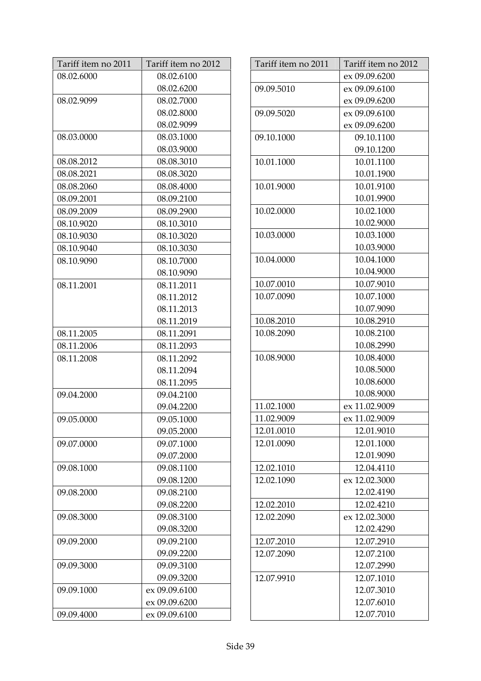| Tariff item no 2011 | Tariff item no 2012 |
|---------------------|---------------------|
| 08.02.6000          | 08.02.6100          |
|                     | 08.02.6200          |
| 08.02.9099          | 08.02.7000          |
|                     | 08.02.8000          |
|                     | 08.02.9099          |
| 08.03.0000          | 08.03.1000          |
|                     | 08.03.9000          |
| 08.08.2012          | 08.08.3010          |
| 08.08.2021          | 08.08.3020          |
| 08.08.2060          | 08.08.4000          |
| 08.09.2001          | 08.09.2100          |
| 08.09.2009          | 08.09.2900          |
| 08.10.9020          | 08.10.3010          |
| 08.10.9030          | 08.10.3020          |
| 08.10.9040          | 08.10.3030          |
| 08.10.9090          | 08.10.7000          |
|                     | 08.10.9090          |
| 08.11.2001          | 08.11.2011          |
|                     | 08.11.2012          |
|                     | 08.11.2013          |
|                     | 08.11.2019          |
| 08.11.2005          | 08.11.2091          |
| 08.11.2006          | 08.11.2093          |
| 08.11.2008          | 08.11.2092          |
|                     | 08.11.2094          |
|                     | 08.11.2095          |
| 09.04.2000          | 09.04.2100          |
|                     | 09.04.2200          |
| 09.05.0000          | 09.05.1000          |
|                     | 09.05.2000          |
| 09.07.0000          | 09.07.1000          |
|                     | 09.07.2000          |
| 09.08.1000          | 09.08.1100          |
|                     | 09.08.1200          |
| 09.08.2000          | 09.08.2100          |
|                     | 09.08.2200          |
| 09.08.3000          | 09.08.3100          |
|                     | 09.08.3200          |
| 09.09.2000          | 09.09.2100          |
|                     | 09.09.2200          |
| 09.09.3000          | 09.09.3100          |
|                     | 09.09.3200          |
| 09.09.1000          | ex 09.09.6100       |
|                     | ex 09.09.6200       |
| 09.09.4000          | ex 09.09.6100       |

| Tariff item no 2011 | Tariff item no 2012         |
|---------------------|-----------------------------|
|                     | ex 09.09.6200               |
| 09.09.5010          | ex 09.09.6100               |
|                     | ex 09.09.6200               |
| 09.09.5020          | ex 09.09.6100               |
|                     | ex 09.09.6200               |
| 09.10.1000          | 09.10.1100                  |
|                     | 09.10.1200                  |
| 10.01.1000          | 10.01.1100                  |
|                     | 10.01.1900                  |
| 10.01.9000          | 10.01.9100                  |
|                     | 10.01.9900                  |
| 10.02.0000          | 10.02.1000                  |
|                     | 10.02.9000                  |
| 10.03.0000          | 10.03.1000                  |
|                     | 10.03.9000                  |
| 10.04.0000          | 10.04.1000                  |
|                     | 10.04.9000                  |
| 10.07.0010          | 10.07.9010                  |
| 10.07.0090          | 10.07.1000                  |
|                     | 10.07.9090                  |
| 10.08.2010          | 10.08.2910                  |
| 10.08.2090          | 10.08.2100                  |
|                     | 10.08.2990                  |
| 10.08.9000          | 10.08.4000                  |
|                     | 10.08.5000                  |
|                     | 10.08.6000                  |
|                     | 10.08.9000                  |
| 11.02.1000          | ex 11.02.9009               |
| 11.02.9009          | ex 11.02.9009               |
| 12.01.0010          | 12.01.9010                  |
| 12.01.0090          | 12.01.1000                  |
|                     | 12.01.9090                  |
| 12.02.1010          | 12.04.4110                  |
| 12.02.1090          | ex 12.02.3000<br>12.02.4190 |
| 12.02.2010          | 12.02.4210                  |
|                     | ex 12.02.3000               |
| 12.02.2090          | 12.02.4290                  |
| 12.07.2010          | 12.07.2910                  |
| 12.07.2090          | 12.07.2100                  |
|                     | 12.07.2990                  |
| 12.07.9910          | 12.07.1010                  |
|                     | 12.07.3010                  |
|                     | 12.07.6010                  |
|                     | 12.07.7010                  |
|                     |                             |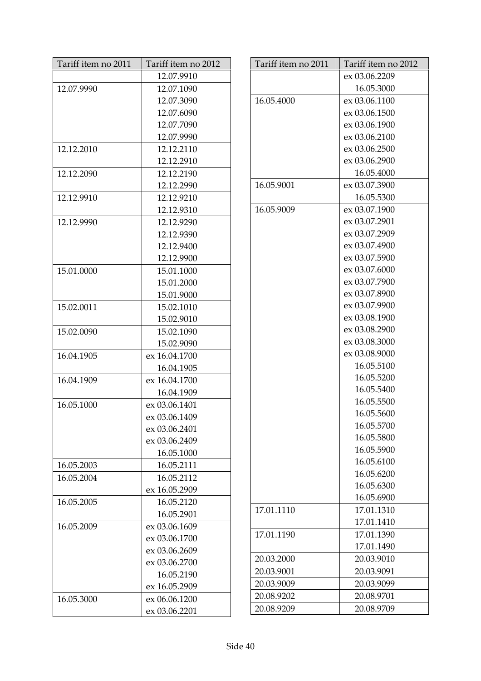| Tariff item no 2011 | Tariff item no 2012 |
|---------------------|---------------------|
|                     | 12.07.9910          |
| 12.07.9990          | 12.07.1090          |
|                     | 12.07.3090          |
|                     | 12.07.6090          |
|                     | 12.07.7090          |
|                     | 12.07.9990          |
| 12.12.2010          | 12.12.2110          |
|                     | 12.12.2910          |
| 12.12.2090          | 12.12.2190          |
|                     | 12.12.2990          |
| 12.12.9910          | 12.12.9210          |
|                     | 12.12.9310          |
| 12.12.9990          | 12.12.9290          |
|                     | 12.12.9390          |
|                     | 12.12.9400          |
|                     | 12.12.9900          |
| 15.01.0000          | 15.01.1000          |
|                     | 15.01.2000          |
|                     | 15.01.9000          |
| 15.02.0011          | 15.02.1010          |
|                     | 15.02.9010          |
| 15.02.0090          | 15.02.1090          |
|                     | 15.02.9090          |
| 16.04.1905          | ex 16.04.1700       |
|                     | 16.04.1905          |
| 16.04.1909          | ex 16.04.1700       |
|                     | 16.04.1909          |
| 16.05.1000          | ex 03.06.1401       |
|                     | ex 03.06.1409       |
|                     | ex 03.06.2401       |
|                     | ex 03.06.2409       |
|                     | 16.05.1000          |
| 16.05.2003          | 16.05.2111          |
| 16.05.2004          | 16.05.2112          |
|                     | ex 16.05.2909       |
| 16.05.2005          | 16.05.2120          |
|                     | 16.05.2901          |
| 16.05.2009          | ex 03.06.1609       |
|                     | ex 03.06.1700       |
|                     | ex 03.06.2609       |
|                     | ex 03.06.2700       |
|                     | 16.05.2190          |
|                     | ex 16.05.2909       |
| 16.05.3000          | ex 06.06.1200       |
|                     | ex 03.06.2201       |

| Tariff item no 2011 | Tariff item no 2012 |
|---------------------|---------------------|
|                     | ex 03.06.2209       |
|                     | 16.05.3000          |
| 16.05.4000          | ex 03.06.1100       |
|                     | ex 03.06.1500       |
|                     | ex 03.06.1900       |
|                     | ex 03.06.2100       |
|                     | ex 03.06.2500       |
|                     | ex 03.06.2900       |
|                     | 16.05.4000          |
| 16.05.9001          | ex 03.07.3900       |
|                     | 16.05.5300          |
| 16.05.9009          | ex 03.07.1900       |
|                     | ex 03.07.2901       |
|                     | ex 03.07.2909       |
|                     | ex 03.07.4900       |
|                     | ex 03.07.5900       |
|                     | ex 03.07.6000       |
|                     | ex 03.07.7900       |
|                     | ex 03.07.8900       |
|                     | ex 03.07.9900       |
|                     | ex 03.08.1900       |
|                     | ex 03.08.2900       |
|                     | ex 03.08.3000       |
|                     | ex 03.08.9000       |
|                     | 16.05.5100          |
|                     | 16.05.5200          |
|                     | 16.05.5400          |
|                     | 16.05.5500          |
|                     | 16.05.5600          |
|                     | 16.05.5700          |
|                     | 16.05.5800          |
|                     | 16.05.5900          |
|                     | 16.05.6100          |
|                     | 16.05.6200          |
|                     | 16.05.6300          |
|                     | 16.05.6900          |
| 17.01.1110          | 17.01.1310          |
|                     | 17.01.1410          |
| 17.01.1190          | 17.01.1390          |
|                     | 17.01.1490          |
| 20.03.2000          | 20.03.9010          |
| 20.03.9001          | 20.03.9091          |
| 20.03.9009          | 20.03.9099          |
| 20.08.9202          | 20.08.9701          |
| 20.08.9209          | 20.08.9709          |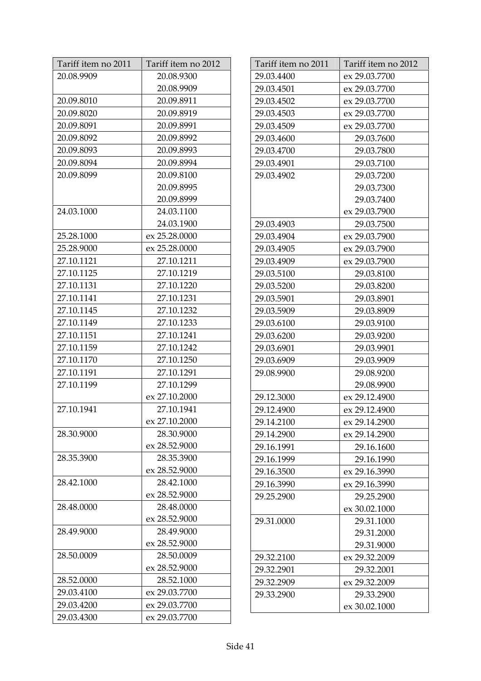| Tariff item no 2011 | Tariff item no 2012 |
|---------------------|---------------------|
| 20.08.9909          | 20.08.9300          |
|                     | 20.08.9909          |
| 20.09.8010          | 20.09.8911          |
| 20.09.8020          | 20.09.8919          |
| 20.09.8091          | 20.09.8991          |
| 20.09.8092          | 20.09.8992          |
| 20.09.8093          | 20.09.8993          |
| 20.09.8094          | 20.09.8994          |
| 20.09.8099          | 20.09.8100          |
|                     | 20.09.8995          |
|                     | 20.09.8999          |
| 24.03.1000          | 24.03.1100          |
|                     | 24.03.1900          |
| 25.28.1000          | ex 25.28.0000       |
| 25.28.9000          | ex 25.28.0000       |
| 27.10.1121          | 27.10.1211          |
| 27.10.1125          | 27.10.1219          |
| 27.10.1131          | 27.10.1220          |
| 27.10.1141          | 27.10.1231          |
| 27.10.1145          | 27.10.1232          |
| 27.10.1149          | 27.10.1233          |
| 27.10.1151          | 27.10.1241          |
| 27.10.1159          | 27.10.1242          |
| 27.10.1170          | 27.10.1250          |
| 27.10.1191          | 27.10.1291          |
| 27.10.1199          | 27.10.1299          |
|                     | ex 27.10.2000       |
| 27.10.1941          | 27.10.1941          |
|                     | ex 27.10.2000       |
| 28.30.9000          | 28.30.9000          |
|                     | ex 28.52.9000       |
| 28.35.3900          | 28.35.3900          |
|                     | ex 28.52.9000       |
| 28.42.1000          | 28.42.1000          |
|                     | ex 28.52.9000       |
| 28.48.0000          | 28.48.0000          |
|                     | ex 28.52.9000       |
| 28.49.9000          | 28.49.9000          |
|                     | ex 28.52.9000       |
| 28.50.0009          | 28.50.0009          |
|                     | ex 28.52.9000       |
| 28.52.0000          | 28.52.1000          |
| 29.03.4100          | ex 29.03.7700       |
| 29.03.4200          | ex 29.03.7700       |
| 29.03.4300          | ex 29.03.7700       |

| Tariff item no 2011 | Tariff item no 2012 |
|---------------------|---------------------|
| 29.03.4400          | ex 29.03.7700       |
| 29.03.4501          | ex 29.03.7700       |
| 29.03.4502          | ex 29.03.7700       |
| 29.03.4503          | ex 29.03.7700       |
| 29.03.4509          | ex 29.03.7700       |
| 29.03.4600          | 29.03.7600          |
| 29.03.4700          | 29.03.7800          |
| 29.03.4901          | 29.03.7100          |
| 29.03.4902          | 29.03.7200          |
|                     | 29.03.7300          |
|                     | 29.03.7400          |
|                     | ex 29.03.7900       |
| 29.03.4903          | 29.03.7500          |
| 29.03.4904          | ex 29.03.7900       |
| 29.03.4905          | ex 29.03.7900       |
| 29.03.4909          | ex 29.03.7900       |
| 29.03.5100          | 29.03.8100          |
| 29.03.5200          | 29.03.8200          |
| 29.03.5901          | 29.03.8901          |
| 29.03.5909          | 29.03.8909          |
| 29.03.6100          | 29.03.9100          |
| 29.03.6200          | 29.03.9200          |
| 29.03.6901          | 29.03.9901          |
| 29.03.6909          | 29.03.9909          |
| 29.08.9900          | 29.08.9200          |
|                     | 29.08.9900          |
| 29.12.3000          | ex 29.12.4900       |
| 29.12.4900          | ex 29.12.4900       |
| 29.14.2100          | ex 29.14.2900       |
| 29.14.2900          | ex 29.14.2900       |
| 29.16.1991          | 29.16.1600          |
| 29.16.1999          | 29.16.1990          |
| 29.16.3500          | ex 29.16.3990       |
| 29.16.3990          | ex 29.16.3990       |
| 29.25.2900          | 29.25.2900          |
|                     | ex 30.02.1000       |
| 29.31.0000          | 29.31.1000          |
|                     | 29.31.2000          |
|                     | 29.31.9000          |
| 29.32.2100          | ex 29.32.2009       |
| 29.32.2901          | 29.32.2001          |
| 29.32.2909          | ex 29.32.2009       |
| 29.33.2900          | 29.33.2900          |
|                     | ex 30.02.1000       |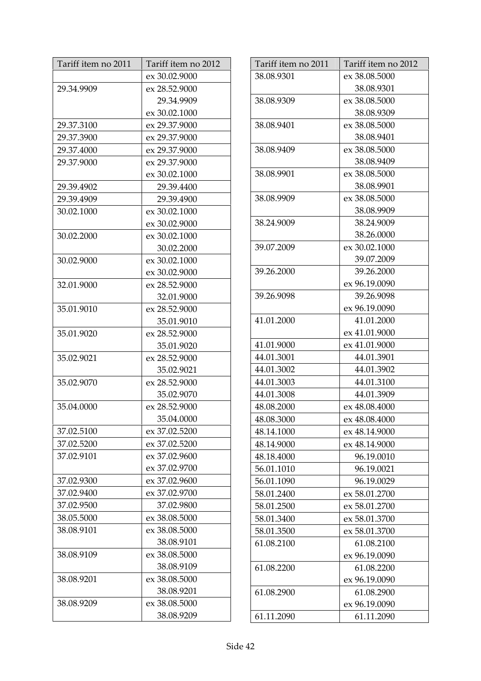| Tariff item no 2011 | Tariff item no 2012 |
|---------------------|---------------------|
|                     | ex 30.02.9000       |
| 29.34.9909          | ex 28.52.9000       |
|                     | 29.34.9909          |
|                     | ex 30.02.1000       |
| 29.37.3100          | ex 29.37.9000       |
| 29.37.3900          | ex 29.37.9000       |
| 29.37.4000          | ex 29.37.9000       |
| 29.37.9000          | ex 29.37.9000       |
|                     | ex 30.02.1000       |
| 29.39.4902          | 29.39.4400          |
| 29.39.4909          | 29.39.4900          |
| 30.02.1000          | ex 30.02.1000       |
|                     | ex 30.02.9000       |
| 30.02.2000          | ex 30.02.1000       |
|                     | 30.02.2000          |
| 30.02.9000          | ex 30.02.1000       |
|                     | ex 30.02.9000       |
| 32.01.9000          | ex 28.52.9000       |
|                     | 32.01.9000          |
| 35.01.9010          | ex 28.52.9000       |
|                     | 35.01.9010          |
| 35.01.9020          | ex 28.52.9000       |
|                     | 35.01.9020          |
| 35.02.9021          | ex 28.52.9000       |
|                     | 35.02.9021          |
| 35.02.9070          | ex 28.52.9000       |
|                     | 35.02.9070          |
| 35.04.0000          | ex 28.52.9000       |
|                     | 35.04.0000          |
| 37.02.5100          | ex 37.02.5200       |
| 37.02.5200          | ex 37.02.5200       |
| 37.02.9101          | ex 37.02.9600       |
|                     | ex 37.02.9700       |
| 37.02.9300          | ex 37.02.9600       |
| 37.02.9400          | ex 37.02.9700       |
| 37.02.9500          | 37.02.9800          |
| 38.05.5000          | ex 38.08.5000       |
| 38.08.9101          | ex 38.08.5000       |
|                     | 38.08.9101          |
| 38.08.9109          | ex 38.08.5000       |
|                     | 38.08.9109          |
| 38.08.9201          | ex 38.08.5000       |
|                     | 38.08.9201          |
| 38.08.9209          | ex 38.08.5000       |
|                     | 38.08.9209          |

| Tariff item no 2011 | Tariff item no 2012 |
|---------------------|---------------------|
| 38.08.9301          | ex 38.08.5000       |
|                     | 38.08.9301          |
| 38.08.9309          | ex 38.08.5000       |
|                     | 38.08.9309          |
| 38.08.9401          | ex 38.08.5000       |
|                     | 38.08.9401          |
| 38.08.9409          | ex 38.08.5000       |
|                     | 38.08.9409          |
| 38.08.9901          | ex 38.08.5000       |
|                     | 38.08.9901          |
| 38.08.9909          | ex 38.08.5000       |
|                     | 38.08.9909          |
| 38.24.9009          | 38.24.9009          |
|                     | 38.26.0000          |
| 39.07.2009          | ex 30.02.1000       |
|                     | 39.07.2009          |
| 39.26.2000          | 39.26.2000          |
|                     | ex 96.19.0090       |
| 39.26.9098          | 39.26.9098          |
|                     | ex 96.19.0090       |
| 41.01.2000          | 41.01.2000          |
|                     | ex 41.01.9000       |
| 41.01.9000          | ex 41.01.9000       |
| 44.01.3001          | 44.01.3901          |
| 44.01.3002          | 44.01.3902          |
| 44.01.3003          | 44.01.3100          |
| 44.01.3008          | 44.01.3909          |
| 48.08.2000          | ex 48.08.4000       |
| 48.08.3000          | ex 48.08.4000       |
| 48.14.1000          | ex 48.14.9000       |
| 48.14.9000          | ex 48.14.9000       |
| 48.18.4000          | 96.19.0010          |
| 56.01.1010          | 96.19.0021          |
| 56.01.1090          | 96.19.0029          |
| 58.01.2400          | ex 58.01.2700       |
| 58.01.2500          | ex 58.01.2700       |
| 58.01.3400          | ex 58.01.3700       |
| 58.01.3500          | ex 58.01.3700       |
| 61.08.2100          | 61.08.2100          |
|                     | ex 96.19.0090       |
| 61.08.2200          | 61.08.2200          |
|                     | ex 96.19.0090       |
| 61.08.2900          | 61.08.2900          |
|                     | ex 96.19.0090       |
| 61.11.2090          | 61.11.2090          |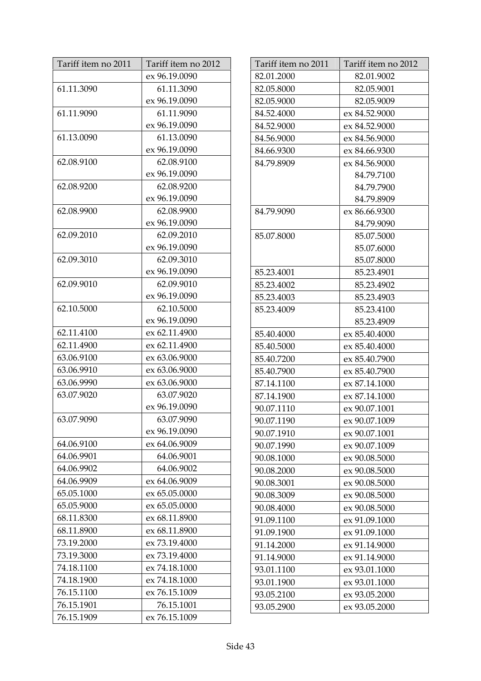| Tariff item no 2011 | Tariff item no 2012 |
|---------------------|---------------------|
|                     | ex 96.19.0090       |
| 61.11.3090          | 61.11.3090          |
|                     | ex 96.19.0090       |
| 61.11.9090          | 61.11.9090          |
|                     | ex 96.19.0090       |
| 61.13.0090          | 61.13.0090          |
|                     | ex 96.19.0090       |
| 62.08.9100          | 62.08.9100          |
|                     | ex 96.19.0090       |
| 62.08.9200          | 62.08.9200          |
|                     | ex 96.19.0090       |
| 62.08.9900          | 62.08.9900          |
|                     | ex 96.19.0090       |
| 62.09.2010          | 62.09.2010          |
|                     | ex 96.19.0090       |
| 62.09.3010          | 62.09.3010          |
|                     | ex 96.19.0090       |
| 62.09.9010          | 62.09.9010          |
|                     | ex 96.19.0090       |
| 62.10.5000          | 62.10.5000          |
|                     | ex 96.19.0090       |
| 62.11.4100          | ex 62.11.4900       |
| 62.11.4900          | ex 62.11.4900       |
| 63.06.9100          | ex 63.06.9000       |
| 63.06.9910          | ex 63.06.9000       |
| 63.06.9990          | ex 63.06.9000       |
| 63.07.9020          | 63.07.9020          |
|                     | ex 96.19.0090       |
| 63.07.9090          | 63.07.9090          |
|                     | ex 96.19.0090       |
| 64.06.9100          | ex 64.06.9009       |
| 64.06.9901          | 64.06.9001          |
| 64.06.9902          | 64.06.9002          |
| 64.06.9909          | ex 64.06.9009       |
| 65.05.1000          | ex 65.05.0000       |
| 65.05.9000          | ex 65.05.0000       |
| 68.11.8300          | ex 68.11.8900       |
| 68.11.8900          | ex 68.11.8900       |
| 73.19.2000          | ex 73.19.4000       |
| 73.19.3000          | ex 73.19.4000       |
| 74.18.1100          | ex 74.18.1000       |
| 74.18.1900          | ex 74.18.1000       |
| 76.15.1100          | ex 76.15.1009       |
| 76.15.1901          | 76.15.1001          |
| 76.15.1909          | ex 76.15.1009       |

| Tariff item no 2011 | Tariff item no 2012 |
|---------------------|---------------------|
| 82.01.2000          | 82.01.9002          |
| 82.05.8000          | 82.05.9001          |
| 82.05.9000          | 82.05.9009          |
| 84.52.4000          | ex 84.52.9000       |
| 84.52.9000          | ex 84.52.9000       |
| 84.56.9000          | ex 84.56.9000       |
| 84.66.9300          | ex 84.66.9300       |
| 84.79.8909          | ex 84.56.9000       |
|                     | 84.79.7100          |
|                     | 84.79.7900          |
|                     | 84.79.8909          |
| 84.79.9090          | ex 86.66.9300       |
|                     | 84.79.9090          |
| 85.07.8000          | 85.07.5000          |
|                     | 85.07.6000          |
|                     | 85.07.8000          |
| 85.23.4001          | 85.23.4901          |
| 85.23.4002          | 85.23.4902          |
| 85.23.4003          | 85.23.4903          |
| 85.23.4009          | 85.23.4100          |
|                     | 85.23.4909          |
| 85.40.4000          | ex 85.40.4000       |
| 85.40.5000          | ex 85.40.4000       |
| 85.40.7200          | ex 85.40.7900       |
| 85.40.7900          | ex 85.40.7900       |
| 87.14.1100          | ex 87.14.1000       |
| 87.14.1900          | ex 87.14.1000       |
| 90.07.1110          | ex 90.07.1001       |
| 90.07.1190          | ex 90.07.1009       |
| 90.07.1910          | ex 90.07.1001       |
| 90.07.1990          | ex 90.07.1009       |
| 90.08.1000          | ex 90.08.5000       |
| 90.08.2000          | ex 90.08.5000       |
| 90.08.3001          | ex 90.08.5000       |
| 90.08.3009          | ex 90.08.5000       |
| 90.08.4000          | ex 90.08.5000       |
| 91.09.1100          | ex 91.09.1000       |
| 91.09.1900          | ex 91.09.1000       |
| 91.14.2000          | ex 91.14.9000       |
| 91.14.9000          | ex 91.14.9000       |
| 93.01.1100          | ex 93.01.1000       |
| 93.01.1900          | ex 93.01.1000       |
| 93.05.2100          | ex 93.05.2000       |
| 93.05.2900          | ex 93.05.2000       |